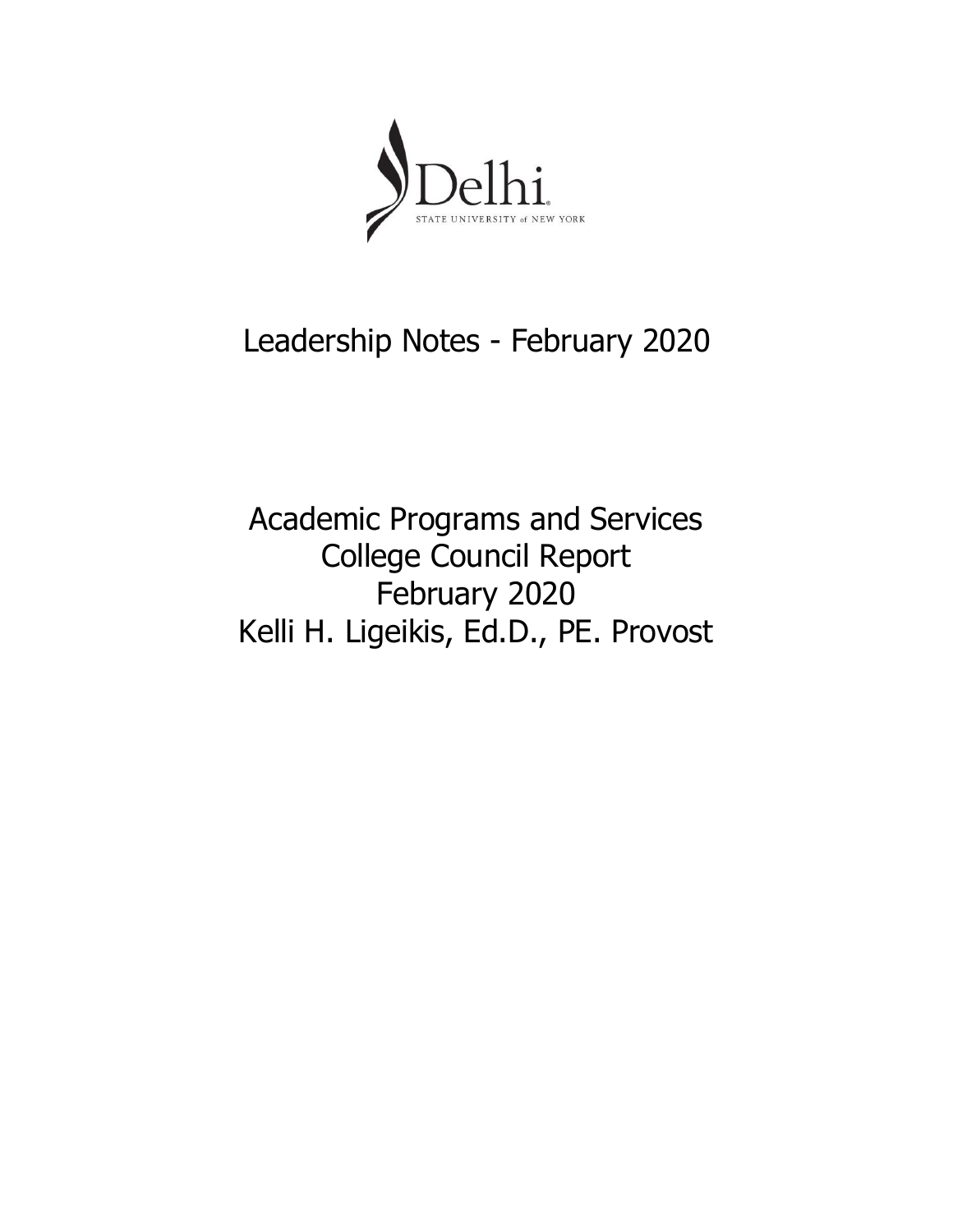

# Leadership Notes - February 2020

Academic Programs and Services College Council Report February 2020 Kelli H. Ligeikis, Ed.D., PE. Provost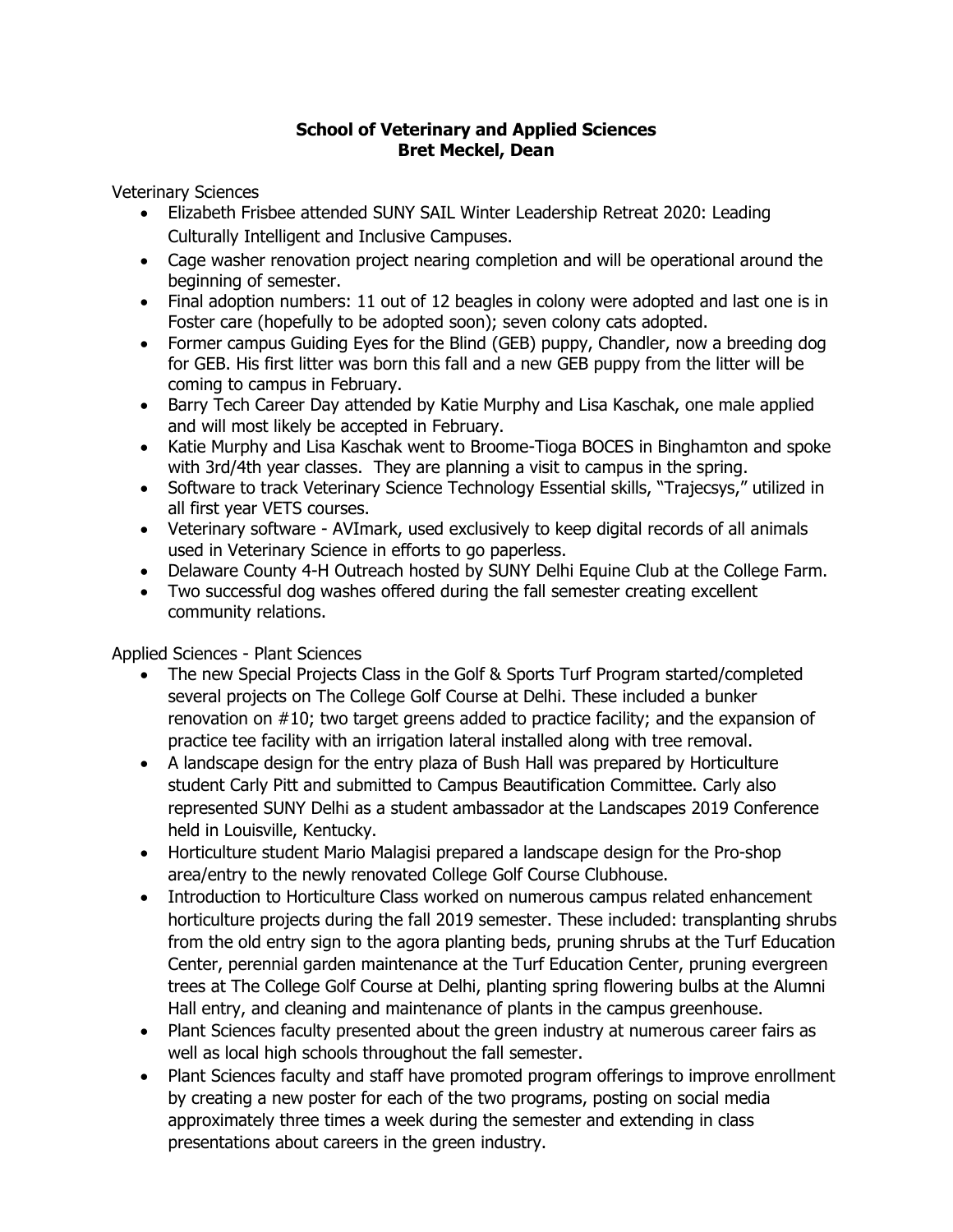## **School of Veterinary and Applied Sciences Bret Meckel, Dean**

Veterinary Sciences

- Elizabeth Frisbee attended SUNY SAIL Winter Leadership Retreat 2020: Leading Culturally Intelligent and Inclusive Campuses.
- Cage washer renovation project nearing completion and will be operational around the beginning of semester.
- Final adoption numbers: 11 out of 12 beagles in colony were adopted and last one is in Foster care (hopefully to be adopted soon); seven colony cats adopted.
- Former campus Guiding Eyes for the Blind (GEB) puppy, Chandler, now a breeding dog for GEB. His first litter was born this fall and a new GEB puppy from the litter will be coming to campus in February.
- Barry Tech Career Day attended by Katie Murphy and Lisa Kaschak, one male applied and will most likely be accepted in February.
- Katie Murphy and Lisa Kaschak went to Broome-Tioga BOCES in Binghamton and spoke with 3rd/4th year classes. They are planning a visit to campus in the spring.
- Software to track Veterinary Science Technology Essential skills, "Trajecsys," utilized in all first year VETS courses.
- Veterinary software AVImark, used exclusively to keep digital records of all animals used in Veterinary Science in efforts to go paperless.
- Delaware County 4-H Outreach hosted by SUNY Delhi Equine Club at the College Farm.
- Two successful dog washes offered during the fall semester creating excellent community relations.

## Applied Sciences - Plant Sciences

- The new Special Projects Class in the Golf & Sports Turf Program started/completed several projects on The College Golf Course at Delhi. These included a bunker renovation on #10; two target greens added to practice facility; and the expansion of practice tee facility with an irrigation lateral installed along with tree removal.
- A landscape design for the entry plaza of Bush Hall was prepared by Horticulture student Carly Pitt and submitted to Campus Beautification Committee. Carly also represented SUNY Delhi as a student ambassador at the Landscapes 2019 Conference held in Louisville, Kentucky.
- Horticulture student Mario Malagisi prepared a landscape design for the Pro-shop area/entry to the newly renovated College Golf Course Clubhouse.
- Introduction to Horticulture Class worked on numerous campus related enhancement horticulture projects during the fall 2019 semester. These included: transplanting shrubs from the old entry sign to the agora planting beds, pruning shrubs at the Turf Education Center, perennial garden maintenance at the Turf Education Center, pruning evergreen trees at The College Golf Course at Delhi, planting spring flowering bulbs at the Alumni Hall entry, and cleaning and maintenance of plants in the campus greenhouse.
- Plant Sciences faculty presented about the green industry at numerous career fairs as well as local high schools throughout the fall semester.
- Plant Sciences faculty and staff have promoted program offerings to improve enrollment by creating a new poster for each of the two programs, posting on social media approximately three times a week during the semester and extending in class presentations about careers in the green industry.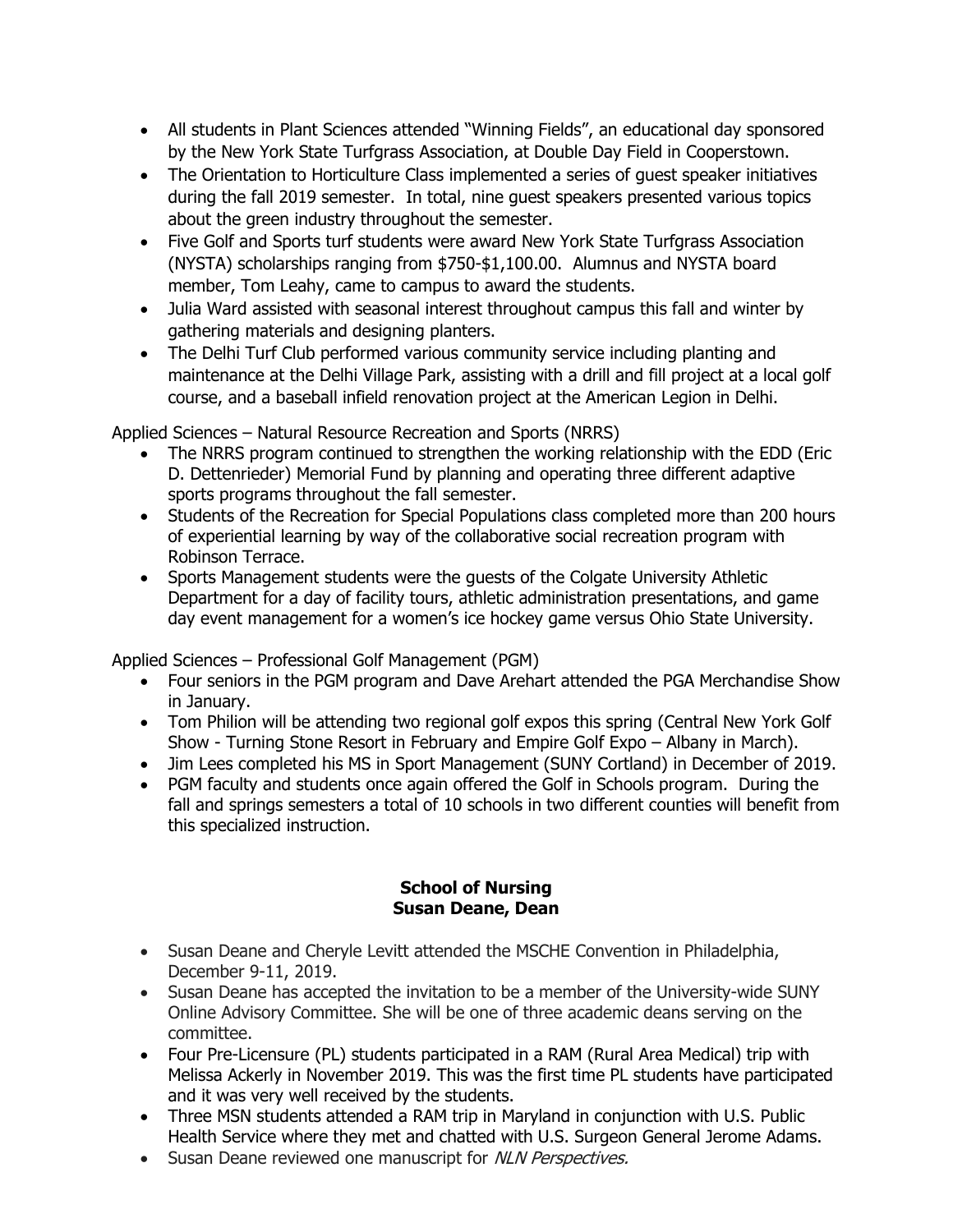- All students in Plant Sciences attended "Winning Fields", an educational day sponsored by the New York State Turfgrass Association, at Double Day Field in Cooperstown.
- The Orientation to Horticulture Class implemented a series of quest speaker initiatives during the fall 2019 semester. In total, nine guest speakers presented various topics about the green industry throughout the semester.
- member, Tom Leahy, came to campus to award the students. • Five Golf and Sports turf students were award New York State Turfgrass Association (NYSTA) scholarships ranging from \$750-\$1,100.00. Alumnus and NYSTA board
- Julia Ward assisted with seasonal interest throughout campus this fall and winter by gathering materials and designing planters.
- The Delhi Turf Club performed various community service including planting and maintenance at the Delhi Village Park, assisting with a drill and fill project at a local golf course, and a baseball infield renovation project at the American Legion in Delhi.

Applied Sciences – Natural Resource Recreation and Sports (NRRS)

- The NRRS program continued to strengthen the working relationship with the EDD (Eric D. Dettenrieder) Memorial Fund by planning and operating three different adaptive sports programs throughout the fall semester.
- Students of the Recreation for Special Populations class completed more than 200 hours of experiential learning by way of the collaborative social recreation program with Robinson Terrace.
- Sports Management students were the guests of the Colgate University Athletic Department for a day of facility tours, athletic administration presentations, and game day event management for a women's ice hockey game versus Ohio State University.

Applied Sciences – Professional Golf Management (PGM)

- Four seniors in the PGM program and Dave Arehart attended the PGA Merchandise Show in January.
- Tom Philion will be attending two regional golf expos this spring (Central New York Golf Show - Turning Stone Resort in February and Empire Golf Expo – Albany in March).
- Jim Lees completed his MS in Sport Management (SUNY Cortland) in December of 2019.
- PGM faculty and students once again offered the Golf in Schools program. During the fall and springs semesters a total of 10 schools in two different counties will benefit from this specialized instruction.

#### **School of Nursing Susan Deane, Dean**

- Susan Deane and Cheryle Levitt attended the MSCHE Convention in Philadelphia, December 9-11, 2019.
- Susan Deane has accepted the invitation to be a member of the University-wide SUNY Online Advisory Committee. She will be one of three academic deans serving on the committee.
- Four Pre-Licensure (PL) students participated in a RAM (Rural Area Medical) trip with Melissa Ackerly in November 2019. This was the first time PL students have participated and it was very well received by the students.
- Three MSN students attended a RAM trip in Maryland in conjunction with U.S. Public Health Service where they met and chatted with U.S. Surgeon General Jerome Adams.
- Susan Deane reviewed one manuscript for NLN Perspectives.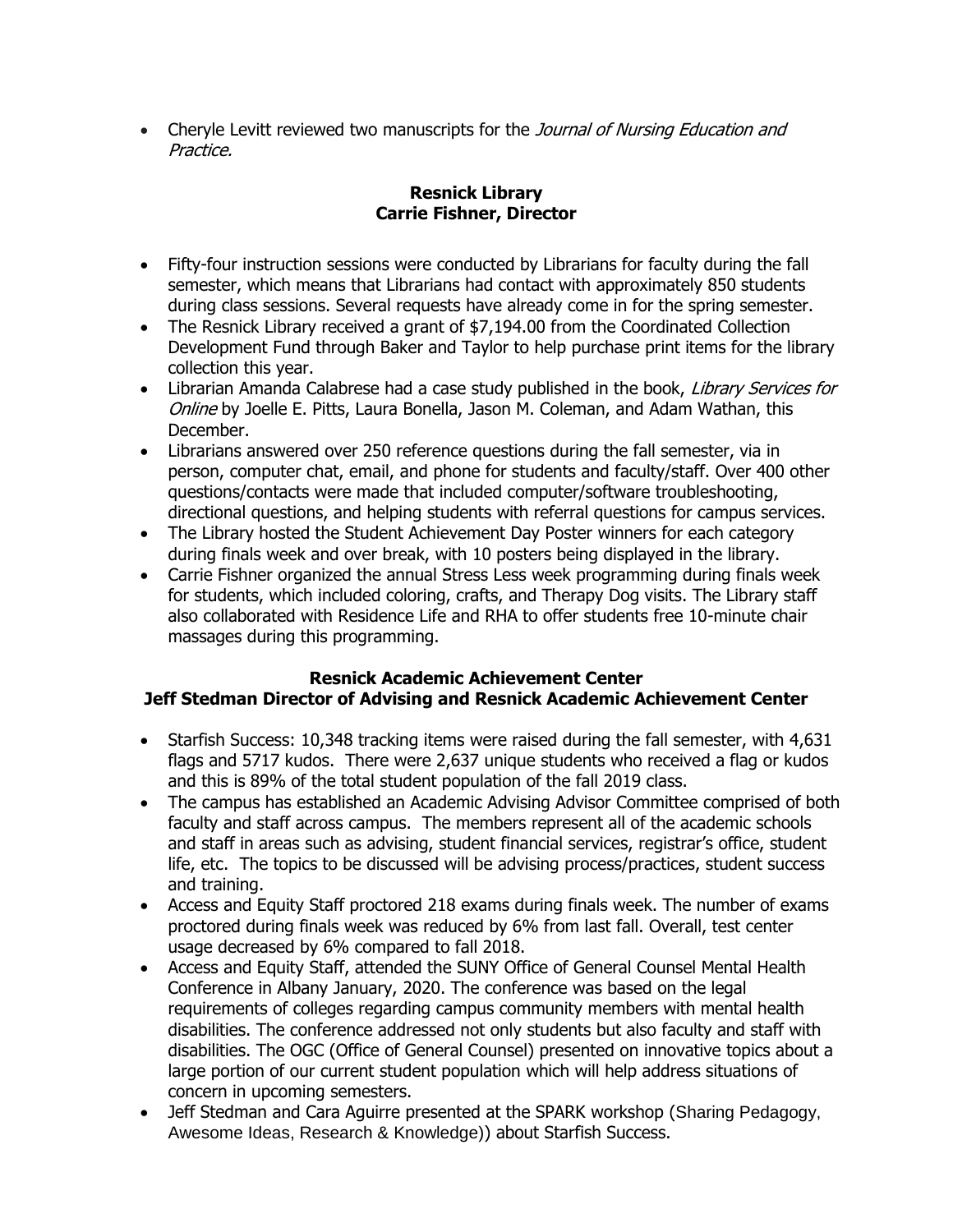• Cheryle Levitt reviewed two manuscripts for the Journal of Nursing Education and Practice.

## **Resnick Library Carrie Fishner, Director**

- Fifty-four instruction sessions were conducted by Librarians for faculty during the fall semester, which means that Librarians had contact with approximately 850 students during class sessions. Several requests have already come in for the spring semester.
- The Resnick Library received a grant of \$7,194.00 from the Coordinated Collection Development Fund through Baker and Taylor to help purchase print items for the library collection this year.
- Librarian Amanda Calabrese had a case study published in the book, Library Services for Online by Joelle E. Pitts, Laura Bonella, Jason M. Coleman, and Adam Wathan, this December.
- Librarians answered over 250 reference questions during the fall semester, via in person, computer chat, email, and phone for students and faculty/staff. Over 400 other questions/contacts were made that included computer/software troubleshooting, directional questions, and helping students with referral questions for campus services.
- The Library hosted the Student Achievement Day Poster winners for each category during finals week and over break, with 10 posters being displayed in the library.
- for students, which included coloring, crafts, and Therapy Dog visits. The Library staff also collaborated with Residence Life and RHA to offer students free 10-minute chair Carrie Fishner organized the annual Stress Less week programming during finals week massages during this programming.

# **Resnick Academic Achievement Center Jeff Stedman Director of Advising and Resnick Academic Achievement Center**

- flags and 5717 kudos. There were 2,637 unique students who received a flag or kudos • Starfish Success: 10,348 tracking items were raised during the fall semester, with 4,631 and this is 89% of the total student population of the fall 2019 class.
- The campus has established an Academic Advising Advisor Committee comprised of both faculty and staff across campus. The members represent all of the academic schools and staff in areas such as advising, student financial services, registrar's office, student life, etc. The topics to be discussed will be advising process/practices, student success and training.
- Access and Equity Staff proctored 218 exams during finals week. The number of exams proctored during finals week was reduced by 6% from last fall. Overall, test center usage decreased by 6% compared to fall 2018.
- Access and Equity Staff, attended the SUNY Office of General Counsel Mental Health Conference in Albany January, 2020. The conference was based on the legal requirements of colleges regarding campus community members with mental health disabilities. The conference addressed not only students but also faculty and staff with disabilities. The OGC (Office of General Counsel) presented on innovative topics about a large portion of our current student population which will help address situations of concern in upcoming semesters.
- Jeff Stedman and Cara Aguirre presented at the SPARK workshop (Sharing Pedagogy, Awesome Ideas, Research & Knowledge)) about Starfish Success.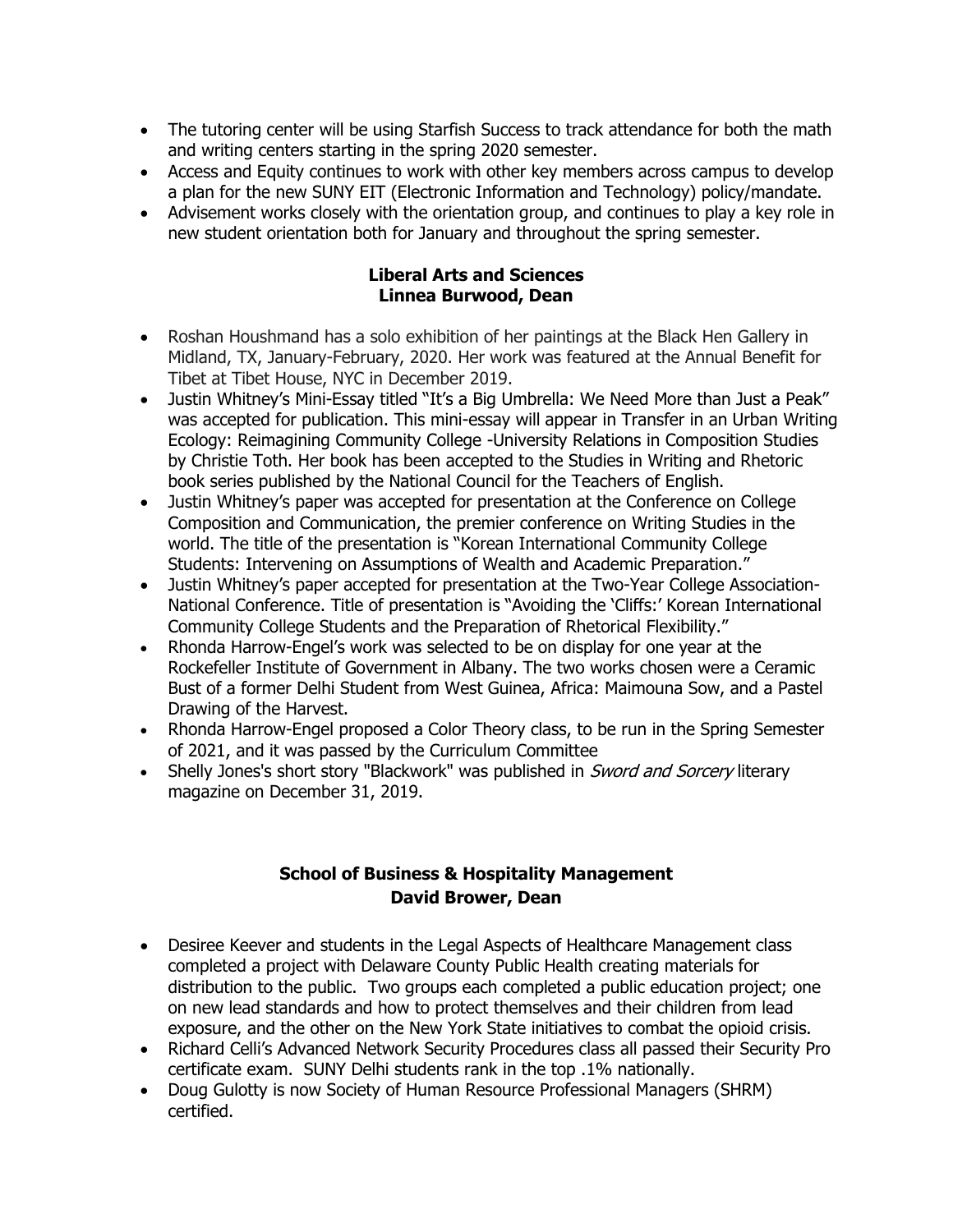- and writing centers starting in the spring 2020 semester.
- Access and Equity continues to work with other key members across campus to develop a plan for the new SUNY EIT (Electronic Information and Technology) policy/mandate.
- Advisement works closely with the orientation group, and continues to play a key role in new student orientation both for January and throughout the spring semester.

#### **Liberal Arts and Sciences Linnea Burwood, Dean**

- The tutoring center will be using Starfish Success to track attendance for both the math<br>
and writing centers starting in the spring 2020 semester.<br>
 Access and Equity continues to work with other key members across campu • Roshan Houshmand has a solo exhibition of her paintings at the Black Hen Gallery in Midland, TX, January-February, 2020. Her work was featured at the Annual Benefit for Tibet at Tibet House, NYC in December 2019.
- Justin Whitney's Mini-Essay titled "It's a Big Umbrella: We Need More than Just a Peak" was accepted for publication. This mini-essay will appear in Transfer in an Urban Writing Ecology: Reimagining Community College -University Relations in Composition Studies by Christie Toth. Her book has been accepted to the Studies in Writing and Rhetoric book series published by the National Council for the Teachers of English.
- Justin Whitney's paper was accepted for presentation at the Conference on College Composition and Communication, the premier conference on Writing Studies in the world. The title of the presentation is "Korean International Community College Students: Intervening on Assumptions of Wealth and Academic Preparation."
- Justin Whitney's paper accepted for presentation at the Two-Year College Association-National Conference. Title of presentation is "Avoiding the 'Cliffs:' Korean International Community College Students and the Preparation of Rhetorical Flexibility."
- Rhonda Harrow-Engel's work was selected to be on display for one year at the Rockefeller Institute of Government in Albany. The two works chosen were a Ceramic Bust of a former Delhi Student from West Guinea, Africa: Maimouna Sow, and a Pastel Drawing of the Harvest.
- of 2021, and it was passed by the Curriculum Committee • Rhonda Harrow-Engel proposed a Color Theory class, to be run in the Spring Semester
- Shelly Jones's short story "Blackwork" was published in Sword and Sorcery literary magazine on December 31, 2019.

# **School of Business & Hospitality Management David Brower, Dean**

- Desiree Keever and students in the Legal Aspects of Healthcare Management class completed a project with Delaware County Public Health creating materials for distribution to the public. Two groups each completed a public education project; one on new lead standards and how to protect themselves and their children from lead exposure, and the other on the New York State initiatives to combat the opioid crisis.
- Richard Celli's Advanced Network Security Procedures class all passed their Security Pro certificate exam. SUNY Delhi students rank in the top .1% nationally.
- Doug Gulotty is now Society of Human Resource Professional Managers (SHRM) certified.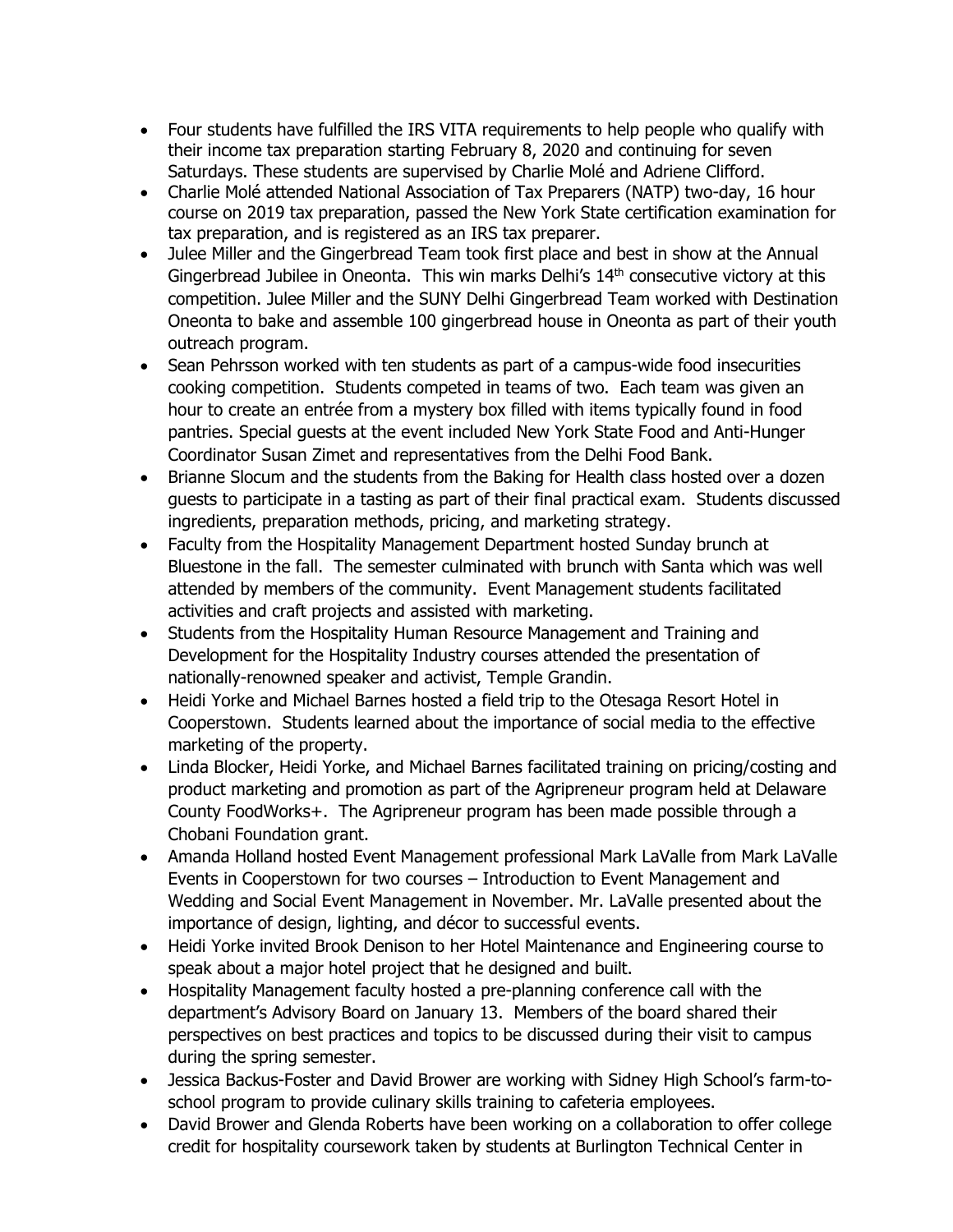- their income tax preparation starting February 8, 2020 and continuing for seven Four students have fulfilled the IRS VITA requirements to help people who qualify with Saturdays. These students are supervised by Charlie Molé and Adriene Clifford.
- tax preparation, and is registered as an IRS tax preparer. Charlie Molé attended National Association of Tax Preparers (NATP) two-day, 16 hour course on 2019 tax preparation, passed the New York State certification examination for
- Julee Miller and the Gingerbread Team took first place and best in show at the Annual Gingerbread Jubilee in Oneonta. This win marks Delhi's  $14<sup>th</sup>$  consecutive victory at this competition. Julee Miller and the SUNY Delhi Gingerbread Team worked with Destination Oneonta to bake and assemble 100 gingerbread house in Oneonta as part of their youth outreach program.
- cooking competition. Students competed in teams of two. Each team was given an • Sean Pehrsson worked with ten students as part of a campus-wide food insecurities hour to create an entrée from a mystery box filled with items typically found in food pantries. Special guests at the event included New York State Food and Anti-Hunger Coordinator Susan Zimet and representatives from the Delhi Food Bank.
- Brianne Slocum and the students from the Baking for Health class hosted over a dozen guests to participate in a tasting as part of their final practical exam. Students discussed ingredients, preparation methods, pricing, and marketing strategy.
- Faculty from the Hospitality Management Department hosted Sunday brunch at Bluestone in the fall. The semester culminated with brunch with Santa which was well attended by members of the community. Event Management students facilitated activities and craft projects and assisted with marketing.
- Students from the Hospitality Human Resource Management and Training and Development for the Hospitality Industry courses attended the presentation of nationally-renowned speaker and activist, Temple Grandin.
- Cooperstown. Students learned about the importance of social media to the effective Heidi Yorke and Michael Barnes hosted a field trip to the Otesaga Resort Hotel in marketing of the property.
- County FoodWorks+. The Agripreneur program has been made possible through a Linda Blocker, Heidi Yorke, and Michael Barnes facilitated training on pricing/costing and product marketing and promotion as part of the Agripreneur program held at Delaware Chobani Foundation grant.
- Amanda Holland hosted Event Management professional Mark LaValle from Mark LaValle Events in Cooperstown for two courses – Introduction to Event Management and Wedding and Social Event Management in November. Mr. LaValle presented about the importance of design, lighting, and décor to successful events.
- Heidi Yorke invited Brook Denison to her Hotel Maintenance and Engineering course to speak about a major hotel project that he designed and built.
- department's Advisory Board on January 13. Members of the board shared their Hospitality Management faculty hosted a pre-planning conference call with the perspectives on best practices and topics to be discussed during their visit to campus during the spring semester.
- Jessica Backus-Foster and David Brower are working with Sidney High School's farm-toschool program to provide culinary skills training to cafeteria employees.
- David Brower and Glenda Roberts have been working on a collaboration to offer college credit for hospitality coursework taken by students at Burlington Technical Center in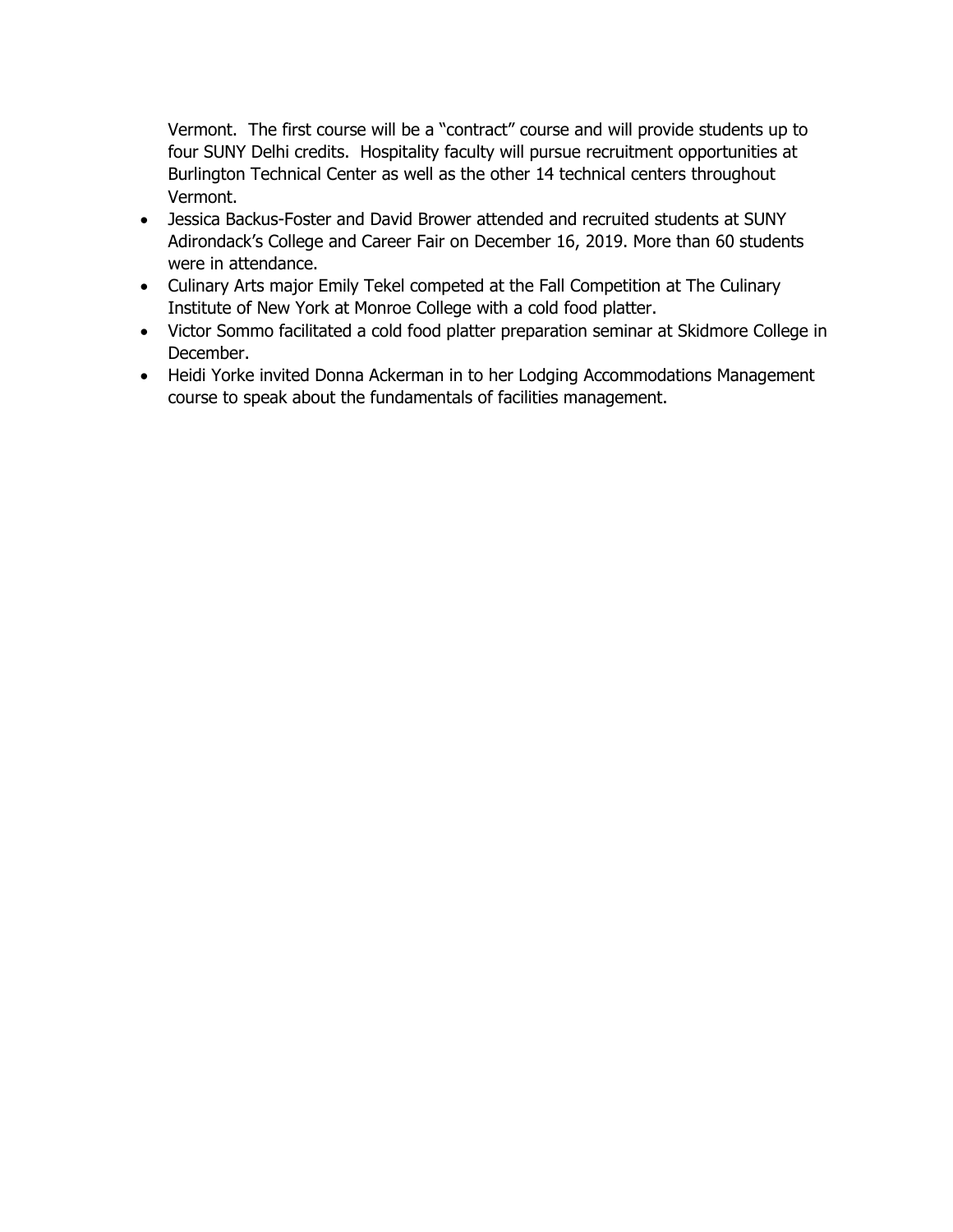Vermont. The first course will be a "contract" course and will provide students up to four SUNY Delhi credits. Hospitality faculty will pursue recruitment opportunities at Burlington Technical Center as well as the other 14 technical centers throughout Vermont.

- Jessica Backus-Foster and David Brower attended and recruited students at SUNY Adirondack's College and Career Fair on December 16, 2019. More than 60 students were in attendance.
- Culinary Arts major Emily Tekel competed at the Fall Competition at The Culinary Institute of New York at Monroe College with a cold food platter.
- Victor Sommo facilitated a cold food platter preparation seminar at Skidmore College in December.
- course to speak about the fundamentals of facilities management. • Heidi Yorke invited Donna Ackerman in to her Lodging Accommodations Management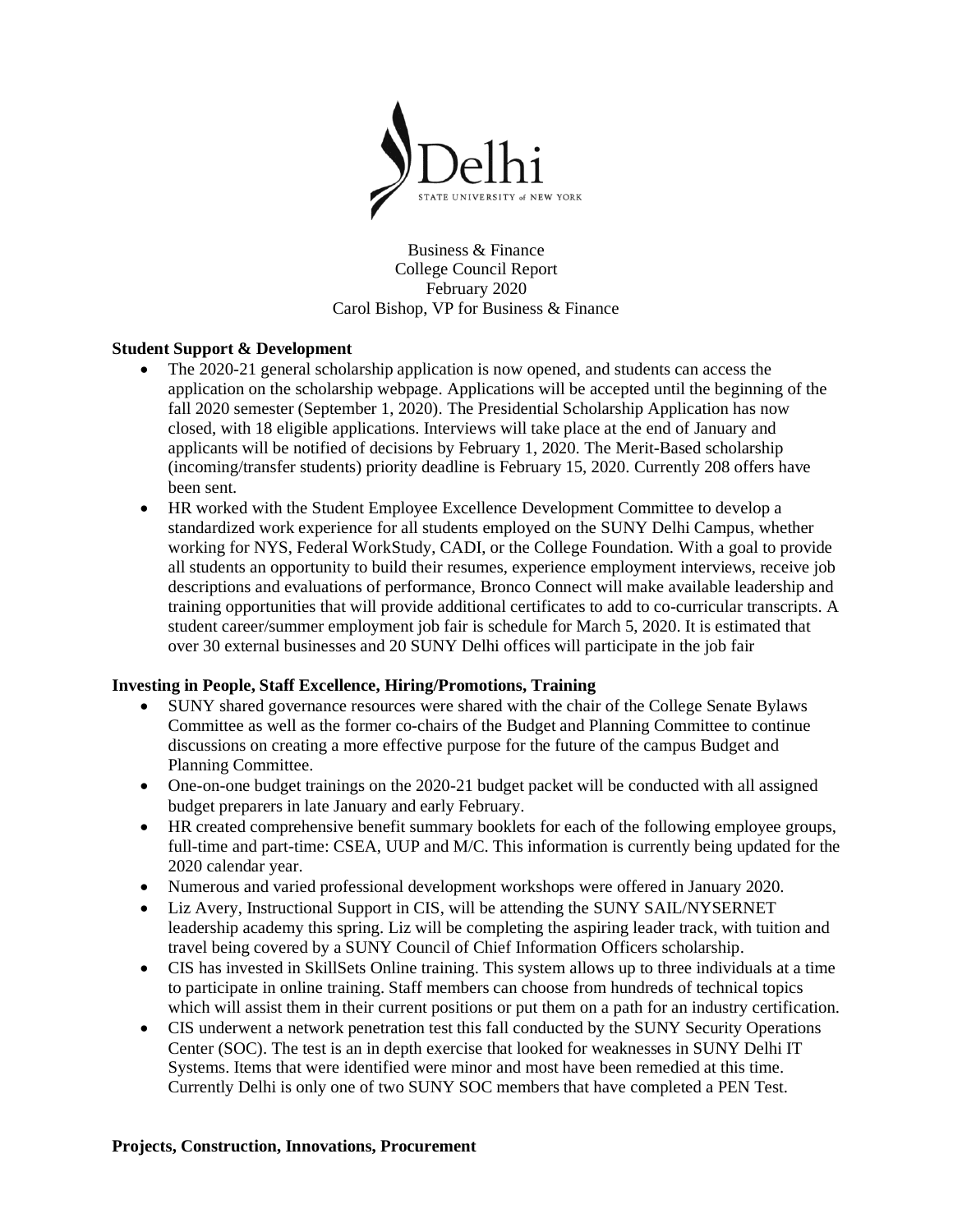

Business & Finance College Council Report February 2020 Carol Bishop, VP for Business & Finance

#### **Student Support & Development**

- closed, with 18 eligible applications. Interviews will take place at the end of January and • The 2020-21 general scholarship application is now opened, and students can access the application on the scholarship webpage. Applications will be accepted until the beginning of the fall 2020 semester (September 1, 2020). The Presidential Scholarship Application has now applicants will be notified of decisions by February 1, 2020. The Merit-Based scholarship (incoming/transfer students) priority deadline is February 15, 2020. Currently 208 offers have been sent.
- HR worked with the Student Employee Excellence Development Committee to develop a standardized work experience for all students employed on the SUNY Delhi Campus, whether working for NYS, Federal WorkStudy, CADI, or the College Foundation. With a goal to provide all students an opportunity to build their resumes, experience employment interviews, receive job descriptions and evaluations of performance, Bronco Connect will make available leadership and training opportunities that will provide additional certificates to add to co-curricular transcripts. A student career/summer employment job fair is schedule for March 5, 2020. It is estimated that over 30 external businesses and 20 SUNY Delhi offices will participate in the job fair

#### **Investing in People, Staff Excellence, Hiring/Promotions, Training**

- SUNY shared governance resources were shared with the chair of the College Senate Bylaws Committee as well as the former co-chairs of the Budget and Planning Committee to continue discussions on creating a more effective purpose for the future of the campus Budget and Planning Committee.
- One-on-one budget trainings on the 2020-21 budget packet will be conducted with all assigned budget preparers in late January and early February.
- HR created comprehensive benefit summary booklets for each of the following employee groups, full-time and part-time: CSEA, UUP and M/C. This information is currently being updated for the 2020 calendar year.
- Numerous and varied professional development workshops were offered in January 2020.
- Liz Avery, Instructional Support in CIS, will be attending the SUNY SAIL/NYSERNET leadership academy this spring. Liz will be completing the aspiring leader track, with tuition and travel being covered by a SUNY Council of Chief Information Officers scholarship.
- CIS has invested in SkillSets Online training. This system allows up to three individuals at a time to participate in online training. Staff members can choose from hundreds of technical topics which will assist them in their current positions or put them on a path for an industry certification.
- Systems. Items that were identified were minor and most have been remedied at this time. • CIS underwent a network penetration test this fall conducted by the SUNY Security Operations Center (SOC). The test is an in depth exercise that looked for weaknesses in SUNY Delhi IT Currently Delhi is only one of two SUNY SOC members that have completed a PEN Test.

#### **Projects, Construction, Innovations, Procurement**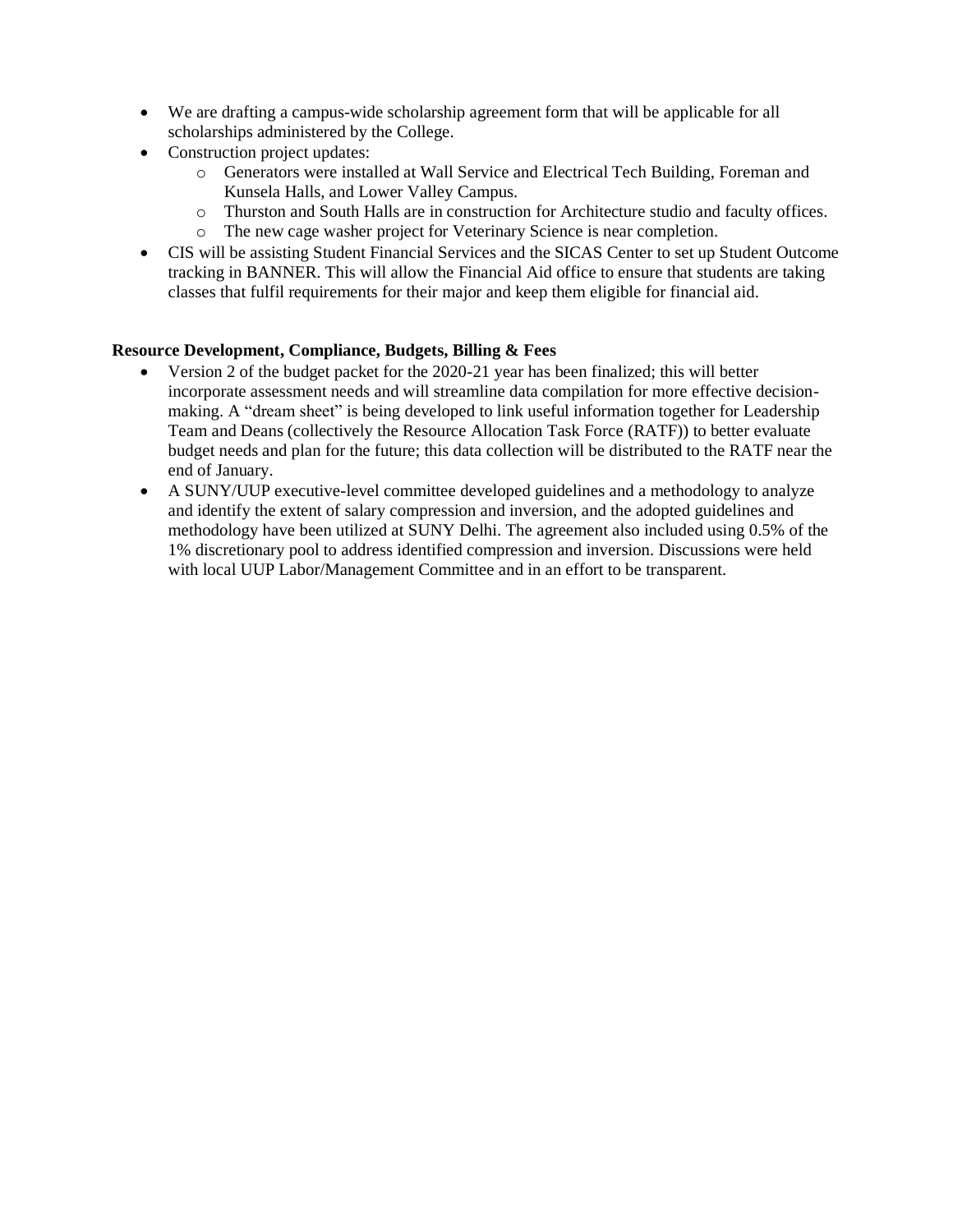- We are drafting a campus-wide scholarship agreement form that will be applicable for all scholarships administered by the College.
- Construction project updates:
	- o Generators were installed at Wall Service and Electrical Tech Building, Foreman and Kunsela Halls, and Lower Valley Campus.
	- o Thurston and South Halls are in construction for Architecture studio and faculty offices.
	- o The new cage washer project for Veterinary Science is near completion.
- CIS will be assisting Student Financial Services and the SICAS Center to set up Student Outcome tracking in BANNER. This will allow the Financial Aid office to ensure that students are taking classes that fulfil requirements for their major and keep them eligible for financial aid.

#### **Resource Development, Compliance, Budgets, Billing & Fees**

- Version 2 of the budget packet for the 2020-21 year has been finalized; this will better incorporate assessment needs and will streamline data compilation for more effective decisionmaking. A "dream sheet" is being developed to link useful information together for Leadership Team and Deans (collectively the Resource Allocation Task Force (RATF)) to better evaluate budget needs and plan for the future; this data collection will be distributed to the RATF near the end of January.
- A SUNY/UUP executive-level committee developed guidelines and a methodology to analyze and identify the extent of salary compression and inversion, and the adopted guidelines and methodology have been utilized at SUNY Delhi. The agreement also included using 0.5% of the 1% discretionary pool to address identified compression and inversion. Discussions were held with local UUP Labor/Management Committee and in an effort to be transparent.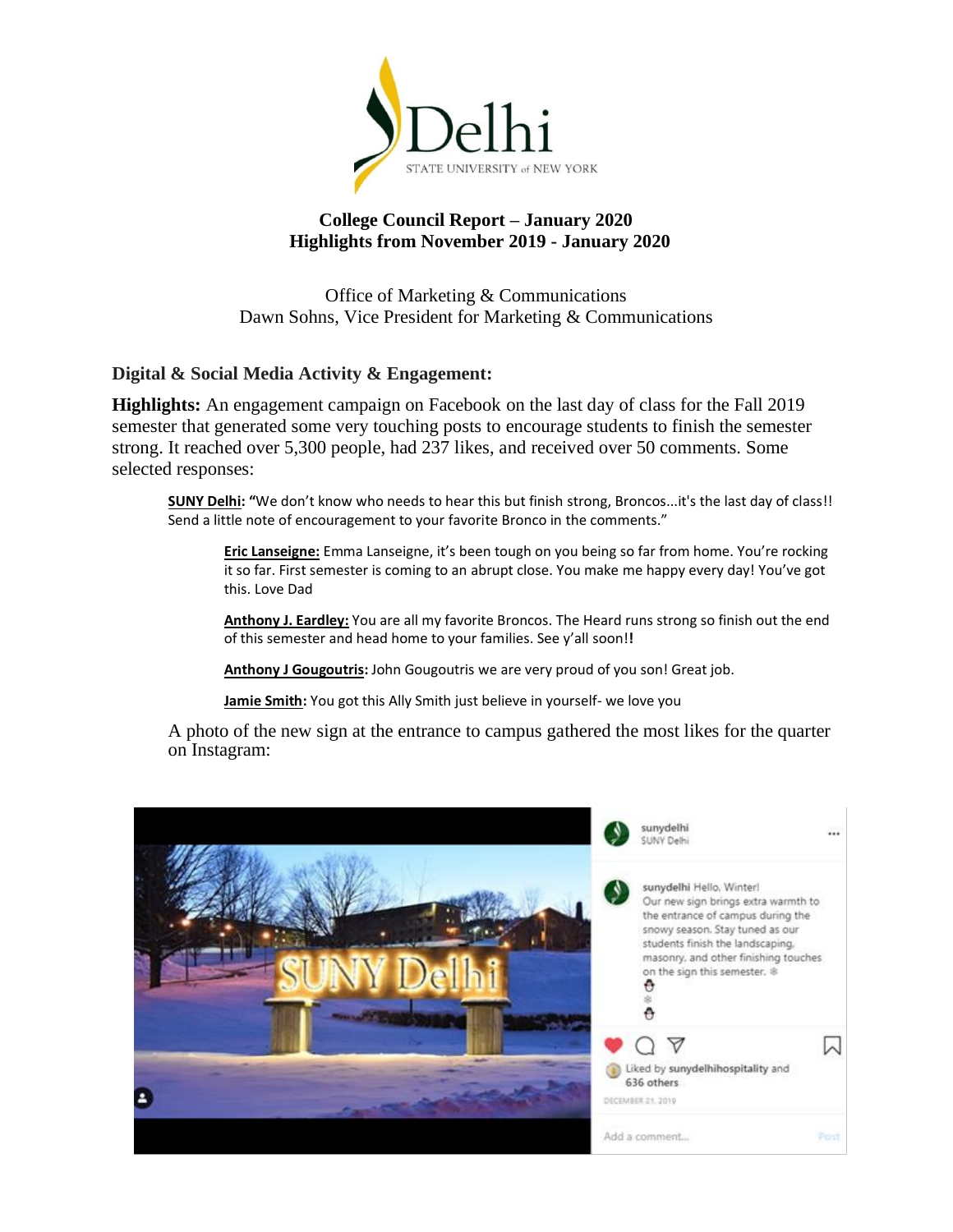

#### **College Council Report – January 2020 Highlights from November 2019 - January 2020**

Office of Marketing & Communications Dawn Sohns, Vice President for Marketing & Communications

# **Digital & Social Media Activity & Engagement:**

**Highlights:** An engagement campaign on Facebook on the last day of class for the Fall 2019 semester that generated some very touching posts to encourage students to finish the semester strong. It reached over 5,300 people, had 237 likes, and received over 50 comments. Some selected responses:

 Send a little note of encouragement to your favorite Bronco in the comments." **SUNY Delhi: "**We don't know who needs to hear this but finish strong, Broncos...it's the last day of class!!

**[Eric Lanseigne:](https://www.facebook.com/eric.lanseigne.16?fref=ufi&rc=p)** [Emma Lanseigne](https://www.facebook.com/emma.lanseigne.3?hc_location=ufi), it's been tough on you being so far from home. You're rocking it so far. First semester is coming to an abrupt close. You make me happy every day! You've got this. Love Dad

 of this semester and head home to your families. See y'all soon!**! [Anthony J. Eardley:](https://www.facebook.com/ajeardley?fref=ufi&rc=p)** You are all my favorite Broncos. The Heard runs strong so finish out the end

[Anthony J Gougoutris:](https://www.facebook.com/anthony.gougoutris?fref=ufi&rc=p) [John Gougoutris](https://www.facebook.com/john.gougoutris?hc_location=ufi) we are very proud of you son! Great job.

**[Jamie Smith:](https://www.facebook.com/jamie.smith.92317121?fref=ufi&rc=p)** You got thi[s Ally Smith j](https://www.facebook.com/allykinz.smith?hc_location=ufi)ust believe in yourself- we love you

 A photo of the new sign at the entrance to campus gathered the most likes for the quarter on Instagram:

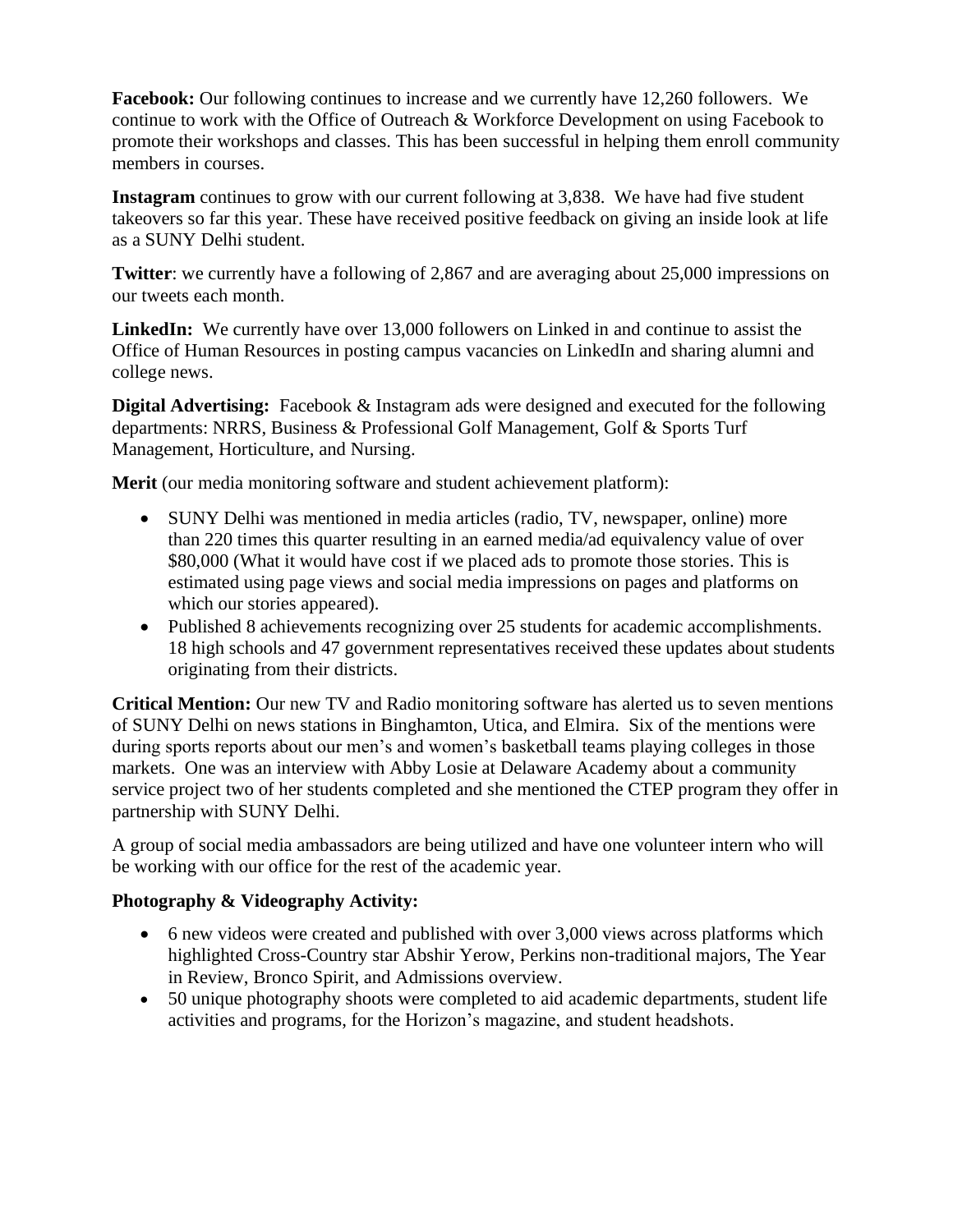members in courses. **Facebook:** Our following continues to increase and we currently have 12,260 followers. We continue to work with the Office of Outreach & Workforce Development on using Facebook to promote their workshops and classes. This has been successful in helping them enroll community

**Instagram** continues to grow with our current following at 3,838. We have had five student takeovers so far this year. These have received positive feedback on giving an inside look at life as a SUNY Delhi student.

**Twitter**: we currently have a following of 2,867 and are averaging about 25,000 impressions on our tweets each month.

**LinkedIn:** We currently have over 13,000 followers on Linked in and continue to assist the Office of Human Resources in posting campus vacancies on LinkedIn and sharing alumni and college news.

**Digital Advertising:** Facebook & Instagram ads were designed and executed for the following departments: NRRS, Business & Professional Golf Management, Golf & Sports Turf Management, Horticulture, and Nursing.

**Merit** (our media monitoring software and student achievement platform):

- SUNY Delhi was mentioned in media articles (radio, TV, newspaper, online) more than 220 times this quarter resulting in an earned media/ad equivalency value of over \$80,000 (What it would have cost if we placed ads to promote those stories. This is estimated using page views and social media impressions on pages and platforms on which our stories appeared).
- Published 8 achievements recognizing over 25 students for academic accomplishments. 18 high schools and 47 government representatives received these updates about students originating from their districts.

**Critical Mention:** Our new TV and Radio monitoring software has alerted us to seven mentions of SUNY Delhi on news stations in Binghamton, Utica, and Elmira. Six of the mentions were during sports reports about our men's and women's basketball teams playing colleges in those markets. One was an interview with Abby Losie at Delaware Academy about a community service project two of her students completed and she mentioned the CTEP program they offer in partnership with SUNY Delhi.

A group of social media ambassadors are being utilized and have one volunteer intern who will be working with our office for the rest of the academic year.

## **Photography & Videography Activity:**

- 6 new videos were created and published with over 3,000 views across platforms which highlighted Cross-Country star Abshir Yerow, Perkins non-traditional majors, The Year in Review, Bronco Spirit, and Admissions overview.
- • 50 unique photography shoots were completed to aid academic departments, student life activities and programs, for the Horizon's magazine, and student headshots.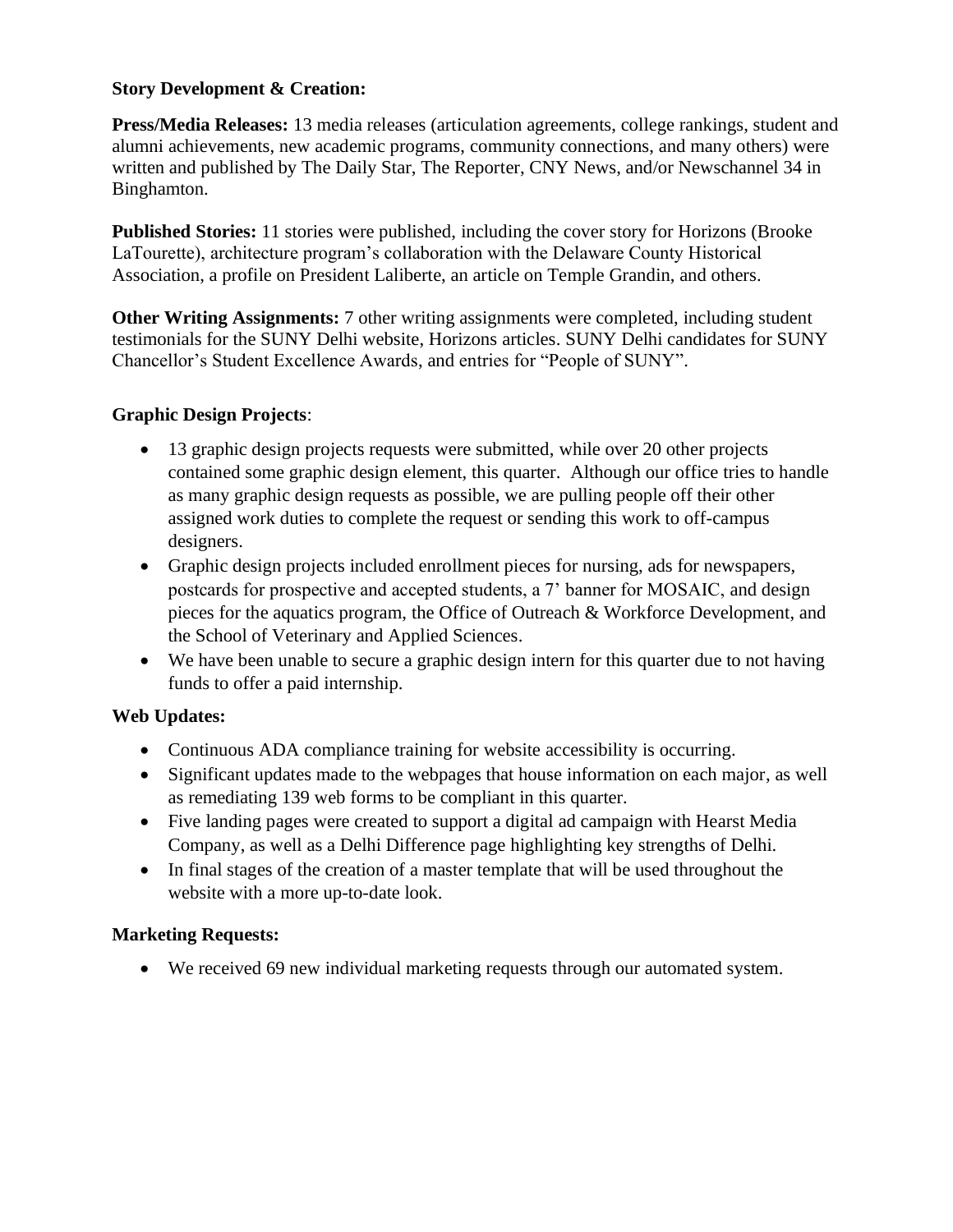#### **Story Development & Creation:**

**Press/Media Releases:** 13 media releases (articulation agreements, college rankings, student and alumni achievements, new academic programs, community connections, and many others) were written and published by The Daily Star, The Reporter, CNY News, and/or Newschannel 34 in Binghamton.

**Published Stories:** 11 stories were published, including the cover story for Horizons (Brooke LaTourette), architecture program's collaboration with the Delaware County Historical Association, a profile on President Laliberte, an article on Temple Grandin, and others.

**Other Writing Assignments:** 7 other writing assignments were completed, including student testimonials for the SUNY Delhi website, Horizons articles. SUNY Delhi candidates for SUNY Chancellor's Student Excellence Awards, and entries for "People of SUNY".

## **Graphic Design Projects**:

- contained some graphic design element, this quarter. Although our office tries to handle as many graphic design requests as possible, we are pulling people off their other • 13 graphic design projects requests were submitted, while over 20 other projects assigned work duties to complete the request or sending this work to off-campus designers.
- Graphic design projects included enrollment pieces for nursing, ads for newspapers, postcards for prospective and accepted students, a 7' banner for MOSAIC, and design pieces for the aquatics program, the Office of Outreach & Workforce Development, and the School of Veterinary and Applied Sciences.
- We have been unable to secure a graphic design intern for this quarter due to not having funds to offer a paid internship.

## **Web Updates:**

- Continuous ADA compliance training for website accessibility is occurring.
- Significant updates made to the webpages that house information on each major, as well as remediating 139 web forms to be compliant in this quarter.
- Five landing pages were created to support a digital ad campaign with Hearst Media Company, as well as a Delhi Difference page highlighting key strengths of Delhi.
- • In final stages of the creation of a master template that will be used throughout the website with a more up-to-date look.

## **Marketing Requests:**

• We received 69 new individual marketing requests through our automated system.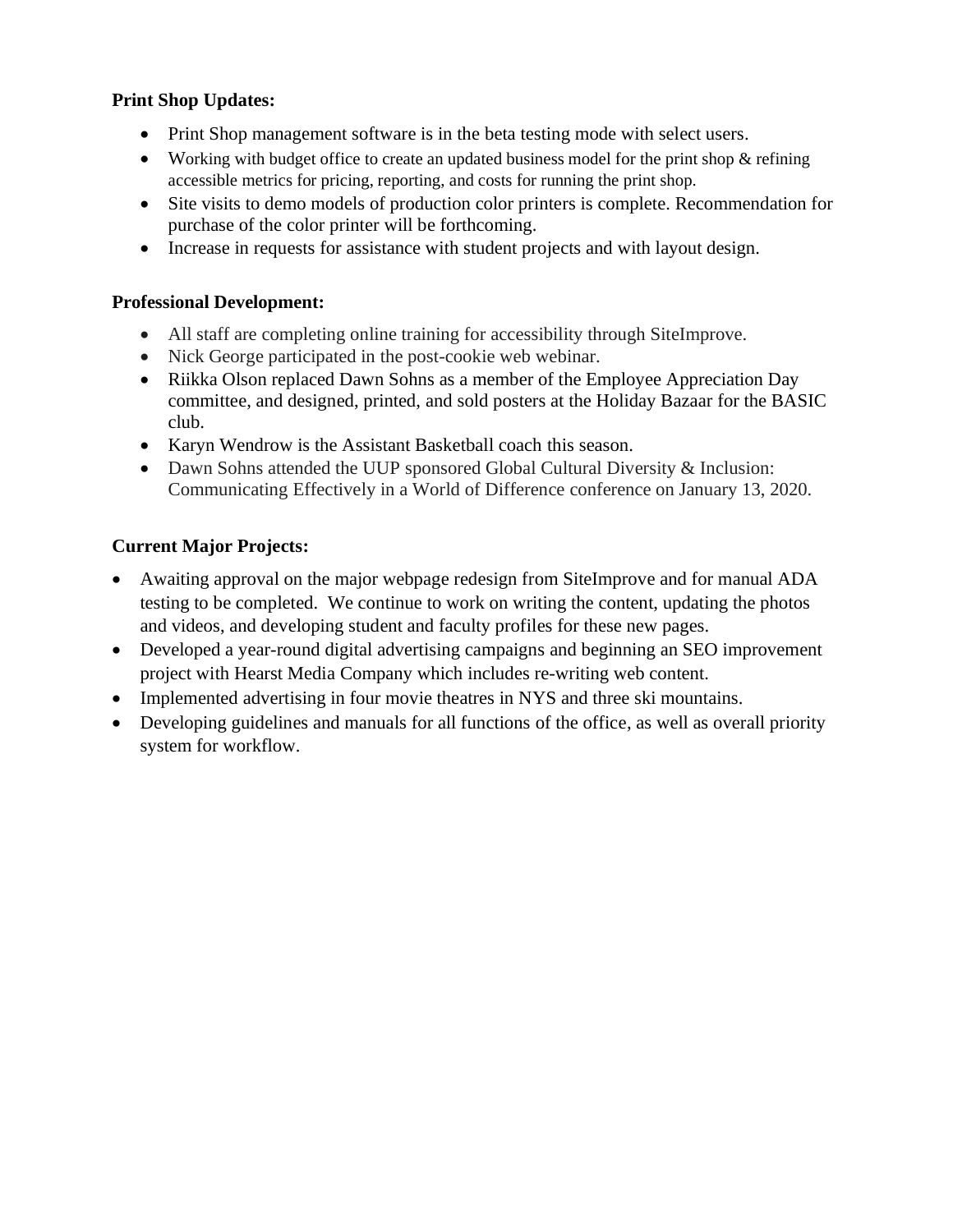## **Print Shop Updates:**

- Print Shop management software is in the beta testing mode with select users.
- Working with budget office to create an updated business model for the print shop & refining accessible metrics for pricing, reporting, and costs for running the print shop.
- Site visits to demo models of production color printers is complete. Recommendation for purchase of the color printer will be forthcoming.
- Increase in requests for assistance with student projects and with layout design.

## **Professional Development:**

- All staff are completing online training for accessibility through SiteImprove.
- Nick George participated in the post-cookie web webinar.
- Riikka Olson replaced Dawn Sohns as a member of the Employee Appreciation Day committee, and designed, printed, and sold posters at the Holiday Bazaar for the BASIC club.
- Karyn Wendrow is the Assistant Basketball coach this season.
- Dawn Sohns attended the UUP sponsored Global Cultural Diversity & Inclusion: Communicating Effectively in a World of Difference conference on January 13, 2020.

# **Current Major Projects:**

- Awaiting approval on the major webpage redesign from SiteImprove and for manual ADA testing to be completed. We continue to work on writing the content, updating the photos and videos, and developing student and faculty profiles for these new pages.
- Developed a year-round digital advertising campaigns and beginning an SEO improvement project with Hearst Media Company which includes re-writing web content.
- Implemented advertising in four movie theatres in NYS and three ski mountains.
- Developing guidelines and manuals for all functions of the office, as well as overall priority system for workflow.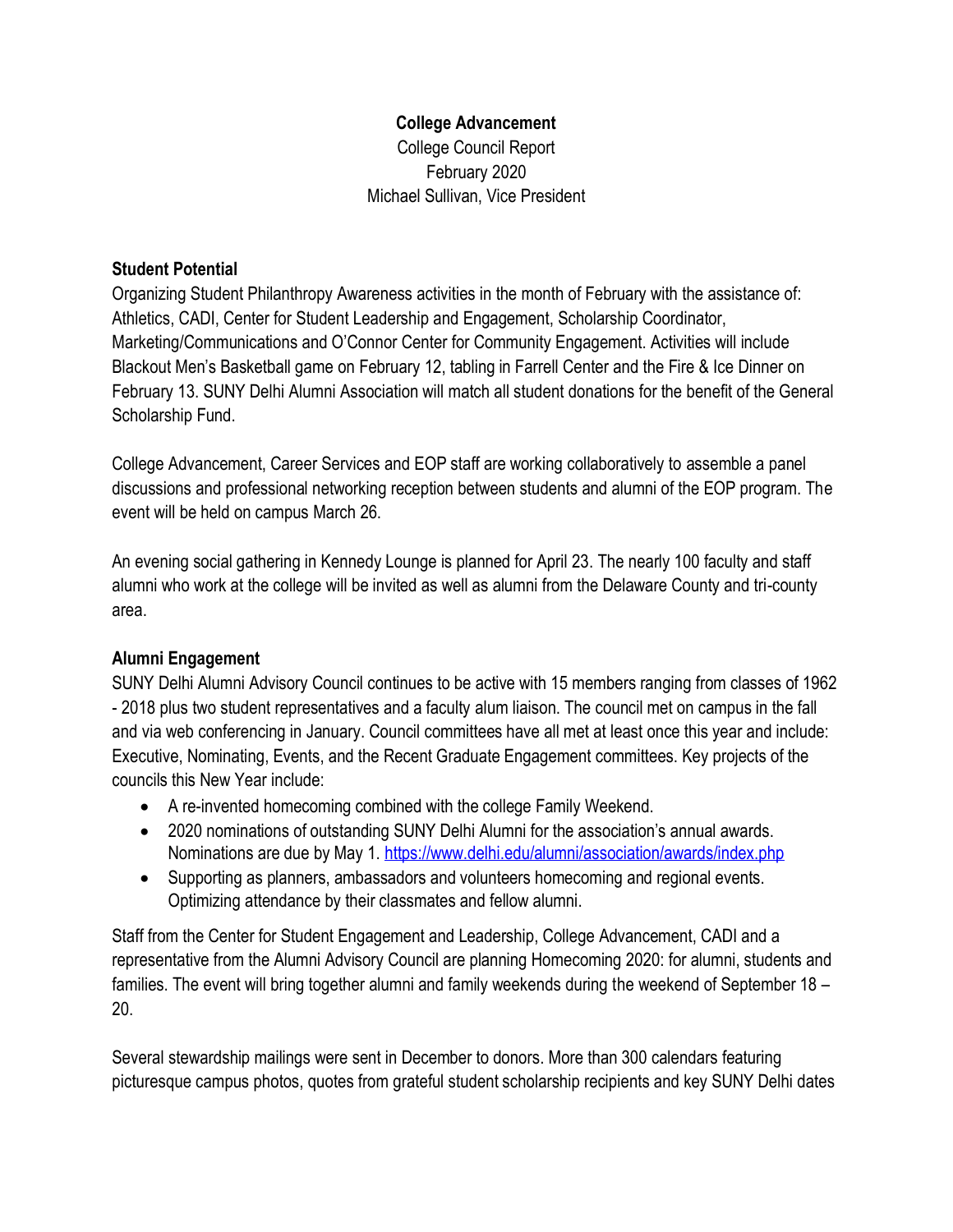# **College Advancement**

College Council Report February 2020 Michael Sullivan, Vice President

## **Student Potential**

 February 13. SUNY Delhi Alumni Association will match all student donations for the benefit of the General Organizing Student Philanthropy Awareness activities in the month of February with the assistance of: Athletics, CADI, Center for Student Leadership and Engagement, Scholarship Coordinator, Marketing/Communications and O'Connor Center for Community Engagement. Activities will include Blackout Men's Basketball game on February 12, tabling in Farrell Center and the Fire & Ice Dinner on Scholarship Fund.

 event will be held on campus March 26. College Advancement, Career Services and EOP staff are working collaboratively to assemble a panel discussions and professional networking reception between students and alumni of the EOP program. The

An evening social gathering in Kennedy Lounge is planned for April 23. The nearly 100 faculty and staff alumni who work at the college will be invited as well as alumni from the Delaware County and tri-county area.

# **Alumni Engagement**

 - 2018 plus two student representatives and a faculty alum liaison. The council met on campus in the fall and via web conferencing in January. Council committees have all met at least once this year and include: SUNY Delhi Alumni Advisory Council continues to be active with 15 members ranging from classes of 1962 Executive, Nominating, Events, and the Recent Graduate Engagement committees. Key projects of the councils this New Year include:

- A re-invented homecoming combined with the college Family Weekend.
- 2020 nominations of outstanding SUNY Delhi Alumni for the association's annual awards. Nominations are due by May 1.<https://www.delhi.edu/alumni/association/awards/index.php>
- Supporting as planners, ambassadors and volunteers homecoming and regional events. Optimizing attendance by their classmates and fellow alumni.

Staff from the Center for Student Engagement and Leadership, College Advancement, CADI and a representative from the Alumni Advisory Council are planning Homecoming 2020: for alumni, students and families. The event will bring together alumni and family weekends during the weekend of September 18 – 20.

Several stewardship mailings were sent in December to donors. More than 300 calendars featuring picturesque campus photos, quotes from grateful student scholarship recipients and key SUNY Delhi dates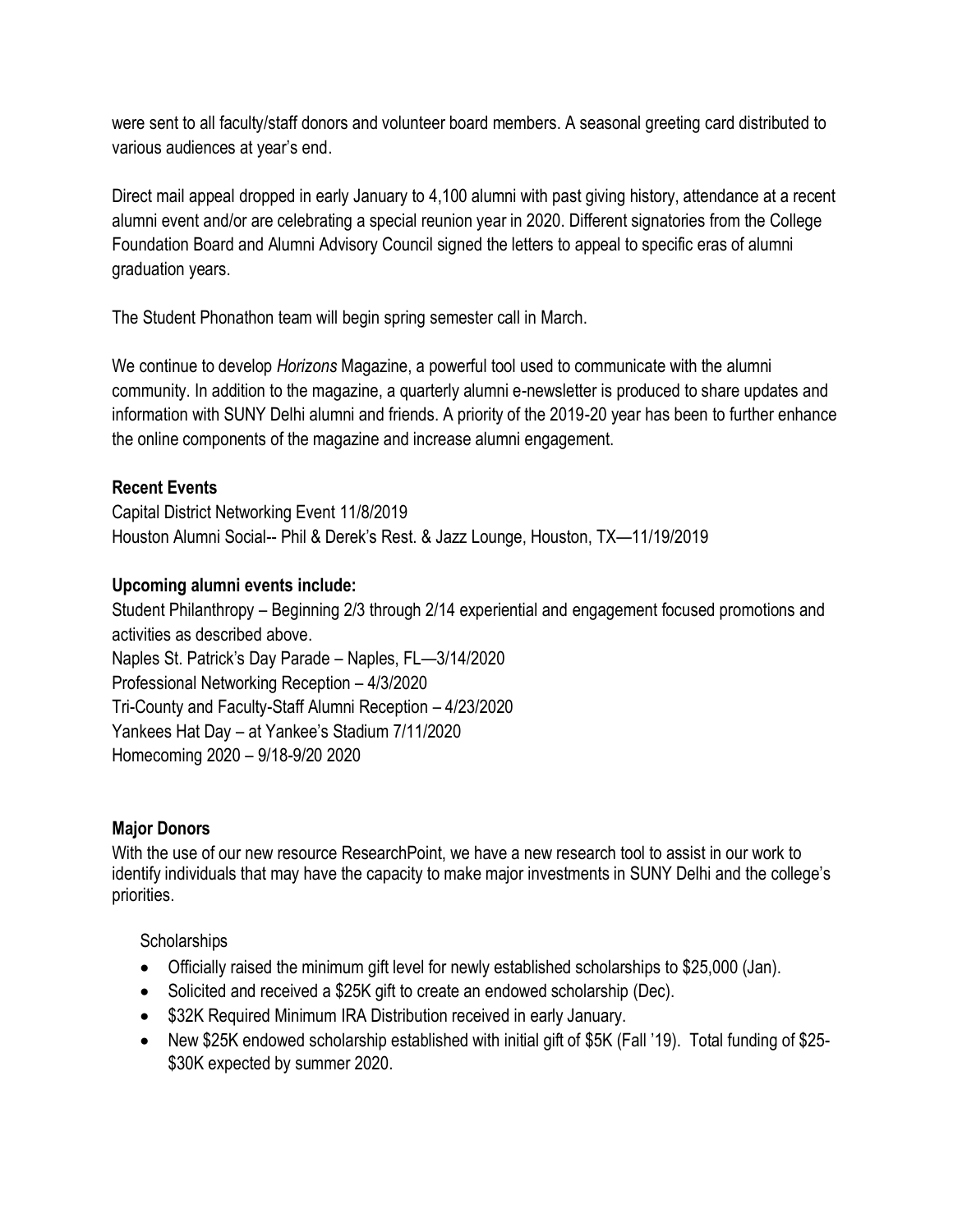were sent to all faculty/staff donors and volunteer board members. A seasonal greeting card distributed to various audiences at year's end.

 Foundation Board and Alumni Advisory Council signed the letters to appeal to specific eras of alumni Direct mail appeal dropped in early January to 4,100 alumni with past giving history, attendance at a recent alumni event and/or are celebrating a special reunion year in 2020. Different signatories from the College graduation years.

The Student Phonathon team will begin spring semester call in March.

We continue to develop *Horizons* Magazine, a powerful tool used to communicate with the alumni community. In addition to the magazine, a quarterly alumni e-newsletter is produced to share updates and information with SUNY Delhi alumni and friends. A priority of the 2019-20 year has been to further enhance the online components of the magazine and increase alumni engagement.

# **Recent Events**

Capital District Networking Event 11/8/2019 Houston Alumni Social-- Phil & Derek's Rest. & Jazz Lounge, Houston, TX—11/19/2019

# **Upcoming alumni events include:**

Student Philanthropy – Beginning 2/3 through 2/14 experiential and engagement focused promotions and activities as described above. Naples St. Patrick's Day Parade – Naples, FL—3/14/2020 Professional Networking Reception – 4/3/2020 Tri-County and Faculty-Staff Alumni Reception – 4/23/2020 Yankees Hat Day – at Yankee's Stadium 7/11/2020 Homecoming 2020 – 9/18-9/20 2020

# **Major Donors**

With the use of our new resource ResearchPoint, we have a new research tool to assist in our work to identify individuals that may have the capacity to make major investments in SUNY Delhi and the college's priorities.

**Scholarships** 

- Officially raised the minimum gift level for newly established scholarships to \$25,000 (Jan).
- Solicited and received a \$25K gift to create an endowed scholarship (Dec).
- \$32K Required Minimum IRA Distribution received in early January.
- New \$25K endowed scholarship established with initial gift of \$5K (Fall '19). Total funding of \$25- \$30K expected by summer 2020.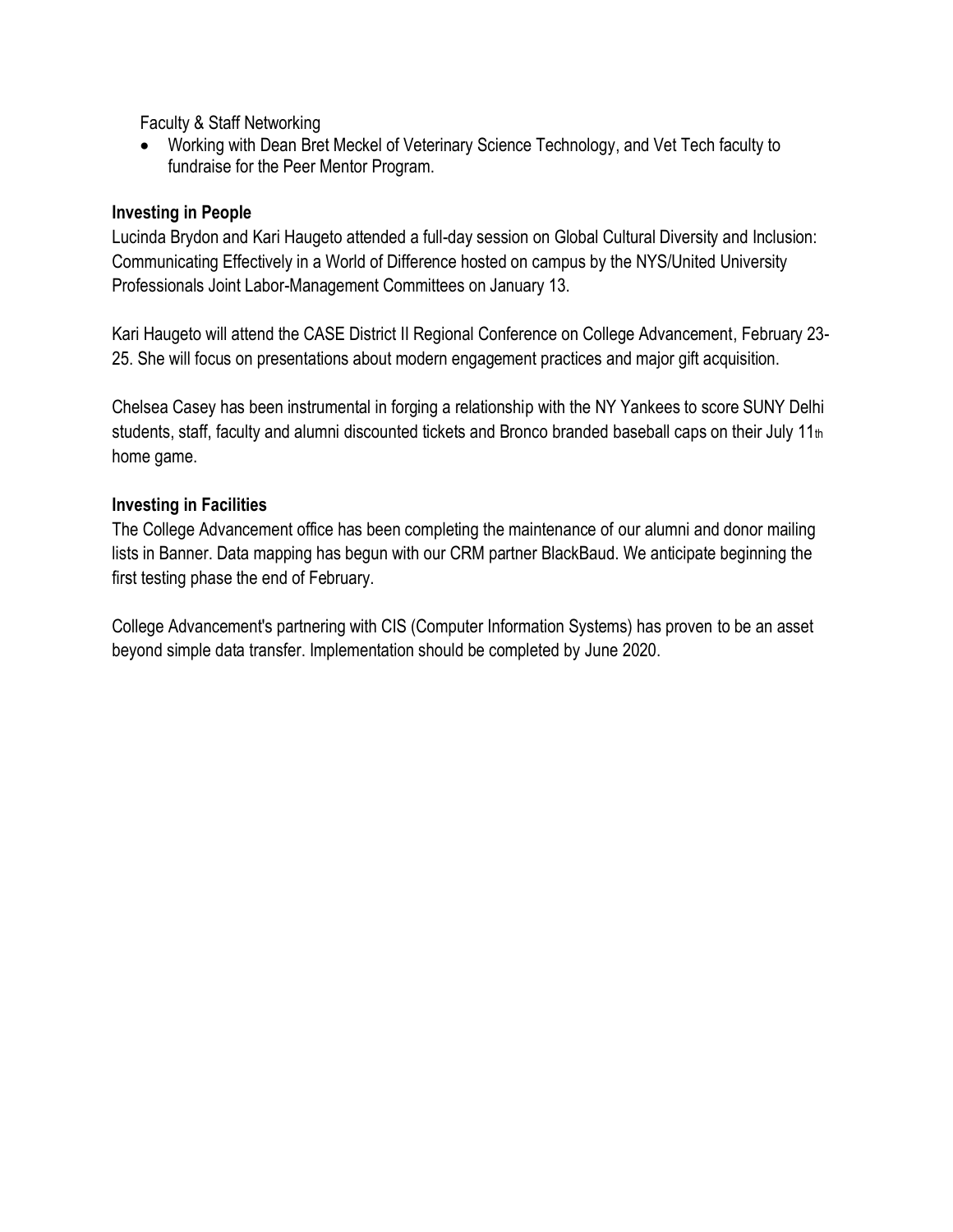Faculty & Staff Networking

• Working with Dean Bret Meckel of Veterinary Science Technology, and Vet Tech faculty to fundraise for the Peer Mentor Program.

## **Investing in People**

Lucinda Brydon and Kari Haugeto attended a full-day session on Global Cultural Diversity and Inclusion: Communicating Effectively in a World of Difference hosted on campus by the NYS/United University Professionals Joint Labor-Management Committees on January 13.

Kari Haugeto will attend the CASE District II Regional Conference on College Advancement, February 23- 25. She will focus on presentations about modern engagement practices and major gift acquisition.

Chelsea Casey has been instrumental in forging a relationship with the NY Yankees to score SUNY Delhi students, staff, faculty and alumni discounted tickets and Bronco branded baseball caps on their July 11th home game.

# **Investing in Facilities**

The College Advancement office has been completing the maintenance of our alumni and donor mailing lists in Banner. Data mapping has begun with our CRM partner BlackBaud. We anticipate beginning the first testing phase the end of February.

 College Advancement's partnering with CIS (Computer Information Systems) has proven to be an asset beyond simple data transfer. Implementation should be completed by June 2020.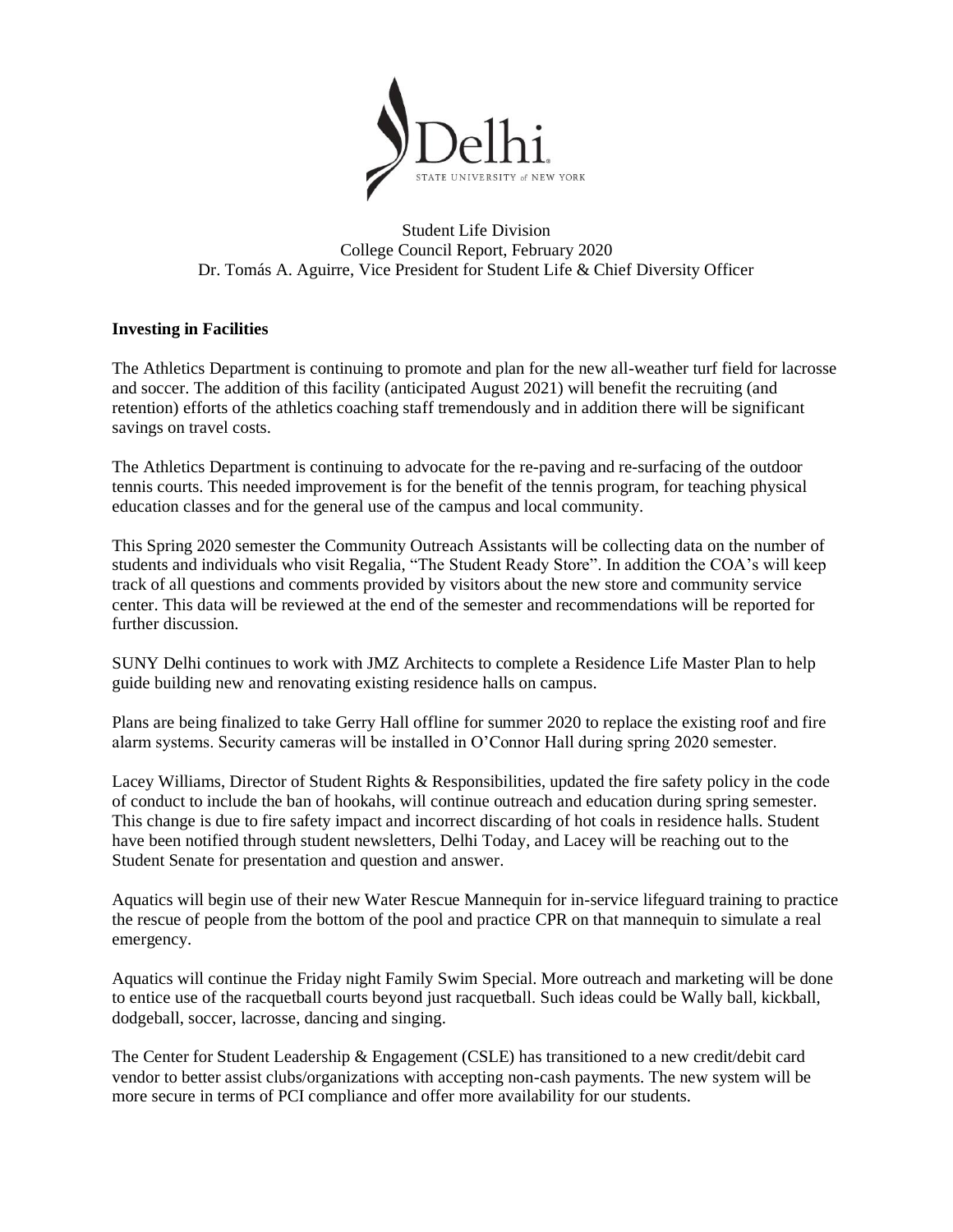

Student Life Division College Council Report, February 2020 Dr. Tomás A. Aguirre, Vice President for Student Life & Chief Diversity Officer

#### **Investing in Facilities**

The Athletics Department is continuing to promote and plan for the new all-weather turf field for lacrosse and soccer. The addition of this facility (anticipated August 2021) will benefit the recruiting (and retention) efforts of the athletics coaching staff tremendously and in addition there will be significant savings on travel costs.

The Athletics Department is continuing to advocate for the re-paving and re-surfacing of the outdoor tennis courts. This needed improvement is for the benefit of the tennis program, for teaching physical education classes and for the general use of the campus and local community.

This Spring 2020 semester the Community Outreach Assistants will be collecting data on the number of students and individuals who visit Regalia, "The Student Ready Store". In addition the COA's will keep track of all questions and comments provided by visitors about the new store and community service center. This data will be reviewed at the end of the semester and recommendations will be reported for further discussion.

SUNY Delhi continues to work with JMZ Architects to complete a Residence Life Master Plan to help guide building new and renovating existing residence halls on campus.

Plans are being finalized to take Gerry Hall offline for summer 2020 to replace the existing roof and fire alarm systems. Security cameras will be installed in O'Connor Hall during spring 2020 semester.

Lacey Williams, Director of Student Rights & Responsibilities, updated the fire safety policy in the code of conduct to include the ban of hookahs, will continue outreach and education during spring semester. This change is due to fire safety impact and incorrect discarding of hot coals in residence halls. Student have been notified through student newsletters, Delhi Today, and Lacey will be reaching out to the Student Senate for presentation and question and answer.

Aquatics will begin use of their new Water Rescue Mannequin for in-service lifeguard training to practice the rescue of people from the bottom of the pool and practice CPR on that mannequin to simulate a real emergency.

Aquatics will continue the Friday night Family Swim Special. More outreach and marketing will be done to entice use of the racquetball courts beyond just racquetball. Such ideas could be Wally ball, kickball, dodgeball, soccer, lacrosse, dancing and singing.

 The Center for Student Leadership & Engagement (CSLE) has transitioned to a new credit/debit card vendor to better assist clubs/organizations with accepting non-cash payments. The new system will be more secure in terms of PCI compliance and offer more availability for our students.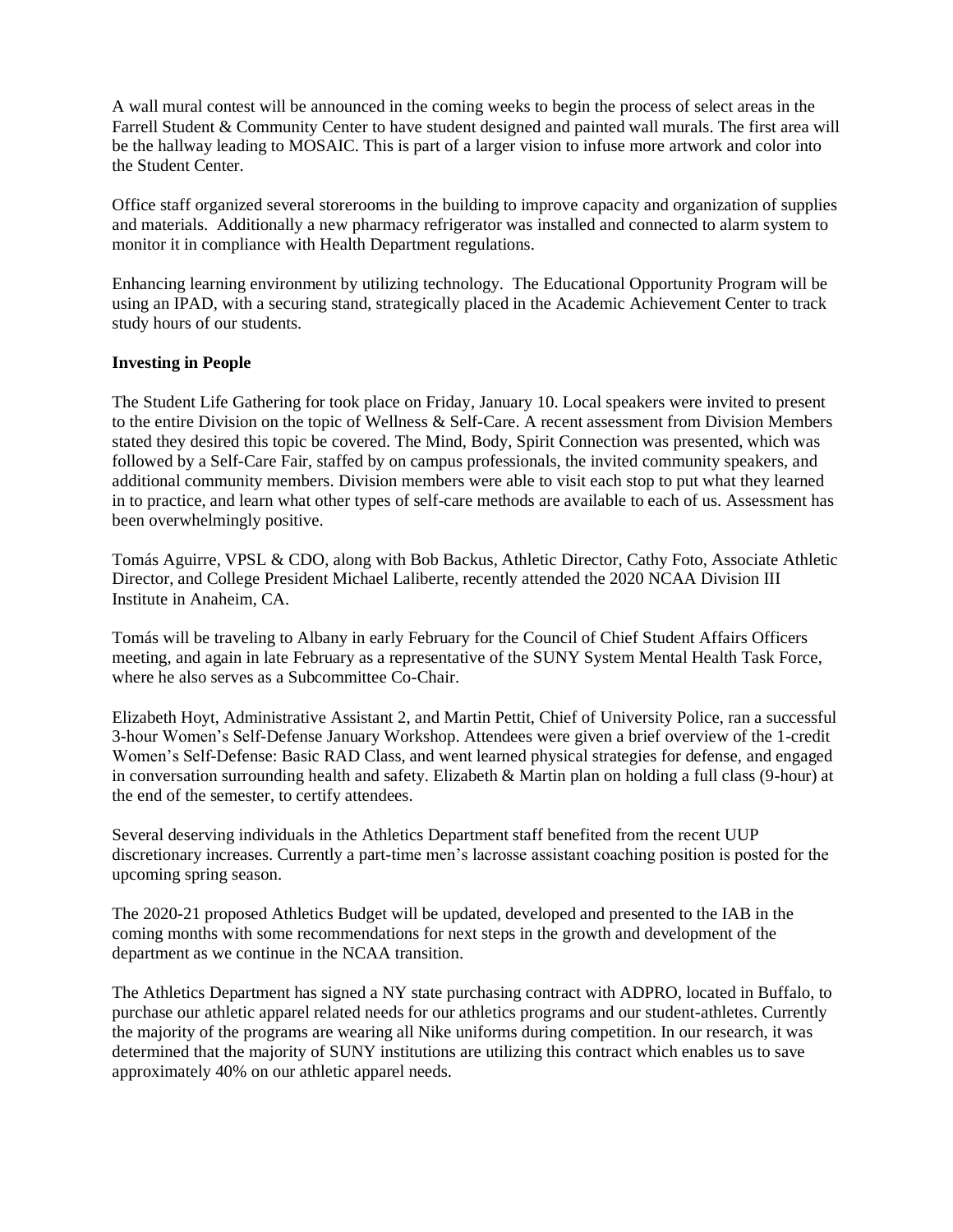Farrell Student & Community Center to have student designed and painted wall murals. The first area will A wall mural contest will be announced in the coming weeks to begin the process of select areas in the be the hallway leading to MOSAIC. This is part of a larger vision to infuse more artwork and color into the Student Center.

Office staff organized several storerooms in the building to improve capacity and organization of supplies and materials. Additionally a new pharmacy refrigerator was installed and connected to alarm system to monitor it in compliance with Health Department regulations.

Enhancing learning environment by utilizing technology. The Educational Opportunity Program will be using an IPAD, with a securing stand, strategically placed in the Academic Achievement Center to track study hours of our students.

#### **Investing in People**

The Student Life Gathering for took place on Friday, January 10. Local speakers were invited to present to the entire Division on the topic of Wellness & Self-Care. A recent assessment from Division Members stated they desired this topic be covered. The Mind, Body, Spirit Connection was presented, which was followed by a Self-Care Fair, staffed by on campus professionals, the invited community speakers, and additional community members. Division members were able to visit each stop to put what they learned in to practice, and learn what other types of self-care methods are available to each of us. Assessment has been overwhelmingly positive.

Tomás Aguirre, VPSL & CDO, along with Bob Backus, Athletic Director, Cathy Foto, Associate Athletic Director, and College President Michael Laliberte, recently attended the 2020 NCAA Division III Institute in Anaheim, CA.

 meeting, and again in late February as a representative of the SUNY System Mental Health Task Force, Tomás will be traveling to Albany in early February for the Council of Chief Student Affairs Officers where he also serves as a Subcommittee Co-Chair.

 in conversation surrounding health and safety. Elizabeth & Martin plan on holding a full class (9-hour) at Elizabeth Hoyt, Administrative Assistant 2, and Martin Pettit, Chief of University Police, ran a successful 3-hour Women's Self-Defense January Workshop. Attendees were given a brief overview of the 1-credit Women's Self-Defense: Basic RAD Class, and went learned physical strategies for defense, and engaged the end of the semester, to certify attendees.

Several deserving individuals in the Athletics Department staff benefited from the recent UUP discretionary increases. Currently a part-time men's lacrosse assistant coaching position is posted for the upcoming spring season.

 department as we continue in the NCAA transition. The 2020-21 proposed Athletics Budget will be updated, developed and presented to the IAB in the coming months with some recommendations for next steps in the growth and development of the

The Athletics Department has signed a NY state purchasing contract with ADPRO, located in Buffalo, to purchase our athletic apparel related needs for our athletics programs and our student-athletes. Currently the majority of the programs are wearing all Nike uniforms during competition. In our research, it was determined that the majority of SUNY institutions are utilizing this contract which enables us to save approximately 40% on our athletic apparel needs.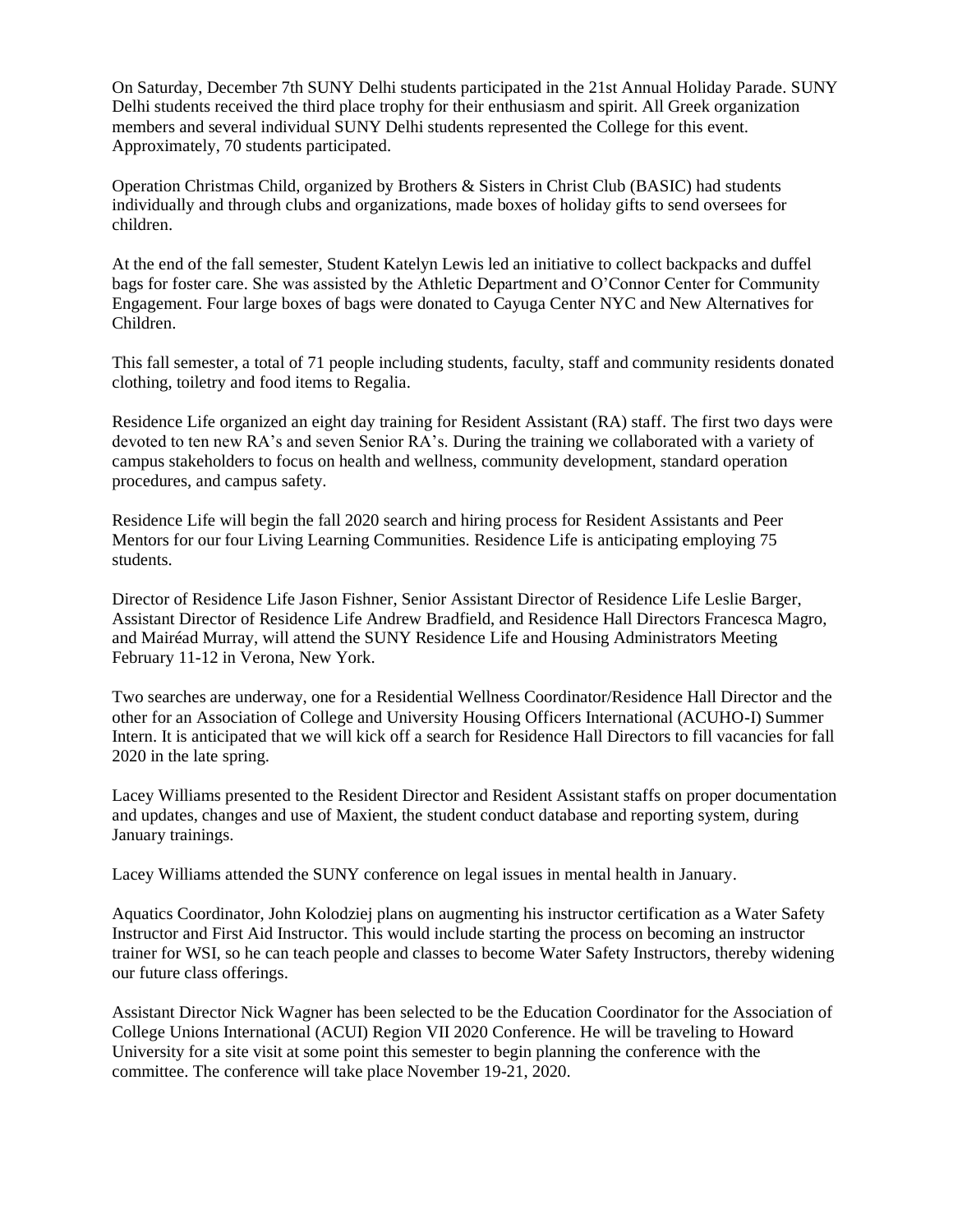On Saturday, December 7th SUNY Delhi students participated in the 21st Annual Holiday Parade. SUNY Delhi students received the third place trophy for their enthusiasm and spirit. All Greek organization members and several individual SUNY Delhi students represented the College for this event. Approximately, 70 students participated.

Operation Christmas Child, organized by Brothers & Sisters in Christ Club (BASIC) had students individually and through clubs and organizations, made boxes of holiday gifts to send oversees for children.

At the end of the fall semester, Student Katelyn Lewis led an initiative to collect backpacks and duffel bags for foster care. She was assisted by the Athletic Department and O'Connor Center for Community Engagement. Four large boxes of bags were donated to Cayuga Center NYC and New Alternatives for Children.

This fall semester, a total of 71 people including students, faculty, staff and community residents donated clothing, toiletry and food items to Regalia.

Residence Life organized an eight day training for Resident Assistant (RA) staff. The first two days were devoted to ten new RA's and seven Senior RA's. During the training we collaborated with a variety of campus stakeholders to focus on health and wellness, community development, standard operation procedures, and campus safety.

Residence Life will begin the fall 2020 search and hiring process for Resident Assistants and Peer Mentors for our four Living Learning Communities. Residence Life is anticipating employing 75 students.

 Assistant Director of Residence Life Andrew Bradfield, and Residence Hall Directors Francesca Magro, Director of Residence Life Jason Fishner, Senior Assistant Director of Residence Life Leslie Barger, and Mairéad Murray, will attend the SUNY Residence Life and Housing Administrators Meeting February 11-12 in Verona, New York.

 other for an Association of College and University Housing Officers International (ACUHO-I) Summer Intern. It is anticipated that we will kick off a search for Residence Hall Directors to fill vacancies for fall Two searches are underway, one for a Residential Wellness Coordinator/Residence Hall Director and the 2020 in the late spring.

Lacey Williams presented to the Resident Director and Resident Assistant staffs on proper documentation and updates, changes and use of Maxient, the student conduct database and reporting system, during January trainings.

Lacey Williams attended the SUNY conference on legal issues in mental health in January.

 our future class offerings. Aquatics Coordinator, John Kolodziej plans on augmenting his instructor certification as a Water Safety Instructor and First Aid Instructor. This would include starting the process on becoming an instructor trainer for WSI, so he can teach people and classes to become Water Safety Instructors, thereby widening

Assistant Director Nick Wagner has been selected to be the Education Coordinator for the Association of College Unions International (ACUI) Region VII 2020 Conference. He will be traveling to Howard University for a site visit at some point this semester to begin planning the conference with the committee. The conference will take place November 19-21, 2020.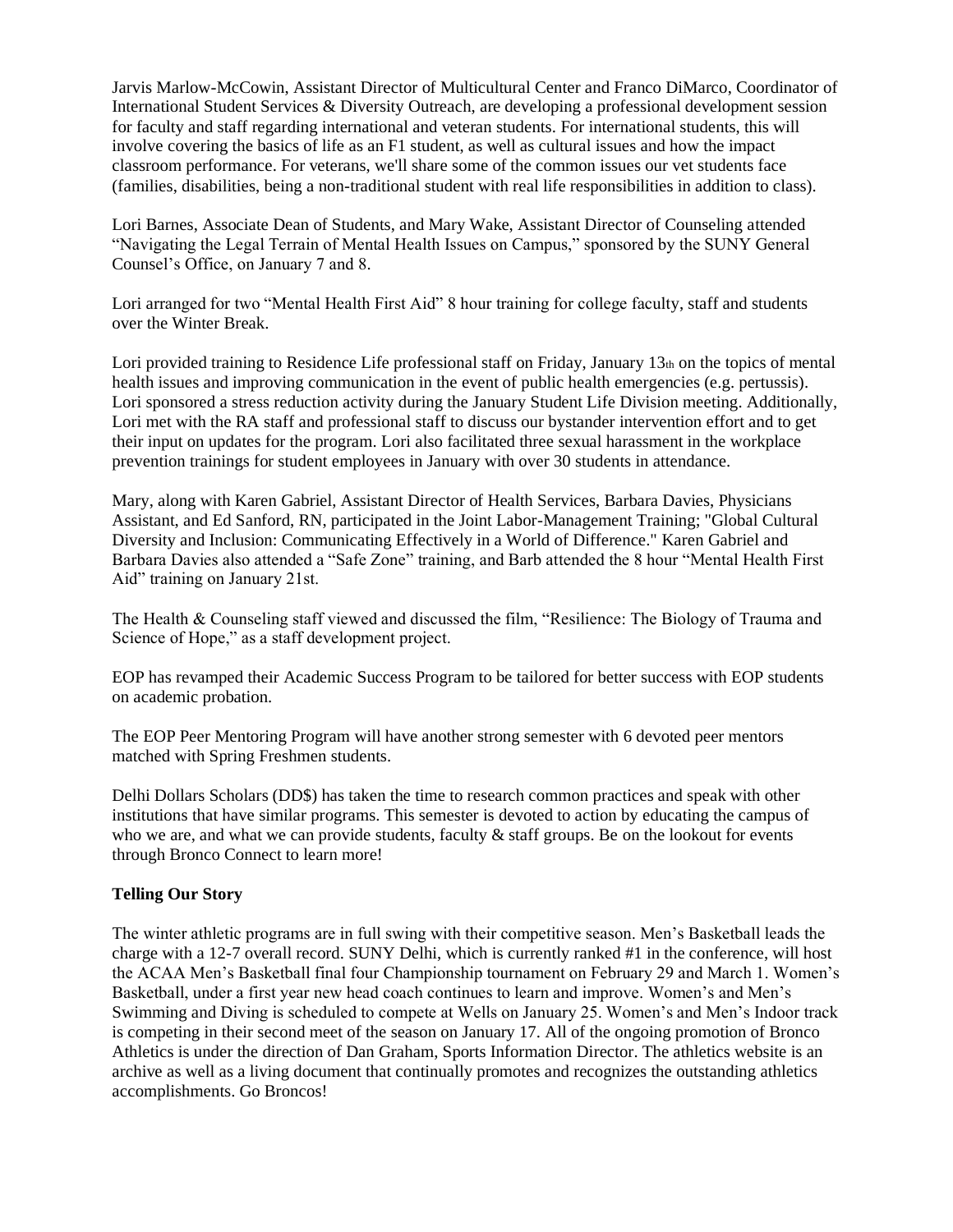International Student Services & Diversity Outreach, are developing a professional development session for faculty and staff regarding international and veteran students. For international students, this will involve covering the basics of life as an F1 student, as well as cultural issues and how the impact classroom performance. For veterans, we'll share some of the common issues our vet students face (families, disabilities, being a non-traditional student with real life responsibilities in addition to class).

Lori Barnes, Associate Dean of Students, and Mary Wake, Assistant Director of Counseling attended "Navigating the Legal Terrain of Mental Health Issues on Campus," sponsored by the SUNY General Counsel's Office, on January 7 and 8.

Lori arranged for two "Mental Health First Aid" 8 hour training for college faculty, staff and students over the Winter Break.

Jarvis Marlow-McCowin, Assistant Director of Multicultural Center and Franco DiMarco, Coordinator of Multicultural Center and Franco DiMarco, Coordinator of for faculty and staff regarding international and veteran student Lori provided training to Residence Life professional staff on Friday, January  $13<sub>th</sub>$  on the topics of mental health issues and improving communication in the event of public health emergencies (e.g. pertussis). Lori sponsored a stress reduction activity during the January Student Life Division meeting. Additionally, Lori met with the RA staff and professional staff to discuss our bystander intervention effort and to get their input on updates for the program. Lori also facilitated three sexual harassment in the workplace prevention trainings for student employees in January with over 30 students in attendance.

 Barbara Davies also attended a "Safe Zone" training, and Barb attended the 8 hour "Mental Health First Mary, along with Karen Gabriel, Assistant Director of Health Services, Barbara Davies, Physicians Assistant, and Ed Sanford, RN, participated in the Joint Labor-Management Training; "Global Cultural Diversity and Inclusion: Communicating Effectively in a World of Difference." Karen Gabriel and Aid" training on January 21st.

The Health & Counseling staff viewed and discussed the film, "Resilience: The Biology of Trauma and Science of Hope," as a staff development project.

EOP has revamped their Academic Success Program to be tailored for better success with EOP students on academic probation.

The EOP Peer Mentoring Program will have another strong semester with 6 devoted peer mentors matched with Spring Freshmen students.

 institutions that have similar programs. This semester is devoted to action by educating the campus of Delhi Dollars Scholars (DD\$) has taken the time to research common practices and speak with other who we are, and what we can provide students, faculty  $\&$  staff groups. Be on the lookout for events through Bronco Connect to learn more!

#### **Telling Our Story**

The winter athletic programs are in full swing with their competitive season. Men's Basketball leads the charge with a 12-7 overall record. SUNY Delhi, which is currently ranked #1 in the conference, will host the ACAA Men's Basketball final four Championship tournament on February 29 and March 1. Women's Basketball, under a first year new head coach continues to learn and improve. Women's and Men's Swimming and Diving is scheduled to compete at Wells on January 25. Women's and Men's Indoor track is competing in their second meet of the season on January 17. All of the ongoing promotion of Bronco Athletics is under the direction of Dan Graham, Sports Information Director. The athletics website is an archive as well as a living document that continually promotes and recognizes the outstanding athletics accomplishments. Go Broncos!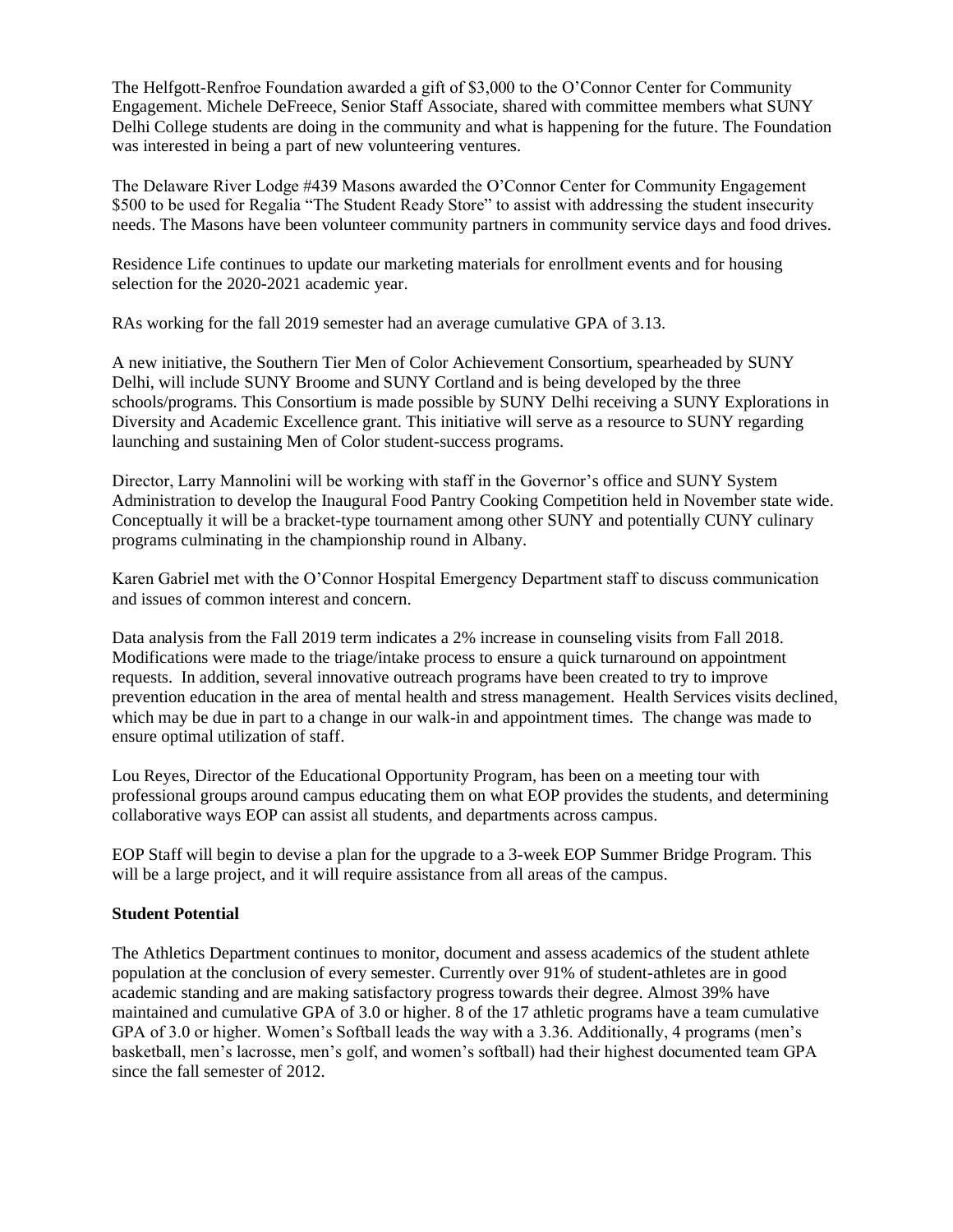The Helfgott-Renfroe Foundation awarded a gift of \$3,000 to the O'Connor Center for Community Engagement. Michele DeFreece, Senior Staff Associate, shared with committee members what SUNY Delhi College students are doing in the community and what is happening for the future. The Foundation was interested in being a part of new volunteering ventures.

The Delaware River Lodge #439 Masons awarded the O'Connor Center for Community Engagement \$500 to be used for Regalia "The Student Ready Store" to assist with addressing the student insecurity needs. The Masons have been volunteer community partners in community service days and food drives.

Residence Life continues to update our marketing materials for enrollment events and for housing selection for the 2020-2021 academic year.

RAs working for the fall 2019 semester had an average cumulative GPA of 3.13.

A new initiative, the Southern Tier Men of Color Achievement Consortium, spearheaded by SUNY Delhi, will include SUNY Broome and SUNY Cortland and is being developed by the three schools/programs. This Consortium is made possible by SUNY Delhi receiving a SUNY Explorations in Diversity and Academic Excellence grant. This initiative will serve as a resource to SUNY regarding launching and sustaining Men of Color student-success programs.

 Director, Larry Mannolini will be working with staff in the Governor's office and SUNY System Administration to develop the Inaugural Food Pantry Cooking Competition held in November state wide. Conceptually it will be a bracket-type tournament among other SUNY and potentially CUNY culinary programs culminating in the championship round in Albany.

Karen Gabriel met with the O'Connor Hospital Emergency Department staff to discuss communication and issues of common interest and concern.

Data analysis from the Fall 2019 term indicates a 2% increase in counseling visits from Fall 2018. Modifications were made to the triage/intake process to ensure a quick turnaround on appointment requests. In addition, several innovative outreach programs have been created to try to improve prevention education in the area of mental health and stress management. Health Services visits declined, which may be due in part to a change in our walk-in and appointment times. The change was made to ensure optimal utilization of staff.

Lou Reyes, Director of the Educational Opportunity Program, has been on a meeting tour with professional groups around campus educating them on what EOP provides the students, and determining collaborative ways EOP can assist all students, and departments across campus.

 will be a large project, and it will require assistance from all areas of the campus. EOP Staff will begin to devise a plan for the upgrade to a 3-week EOP Summer Bridge Program. This

#### **Student Potential**

 maintained and cumulative GPA of 3.0 or higher. 8 of the 17 athletic programs have a team cumulative The Athletics Department continues to monitor, document and assess academics of the student athlete population at the conclusion of every semester. Currently over 91% of student-athletes are in good academic standing and are making satisfactory progress towards their degree. Almost 39% have GPA of 3.0 or higher. Women's Softball leads the way with a 3.36. Additionally, 4 programs (men's basketball, men's lacrosse, men's golf, and women's softball) had their highest documented team GPA since the fall semester of 2012.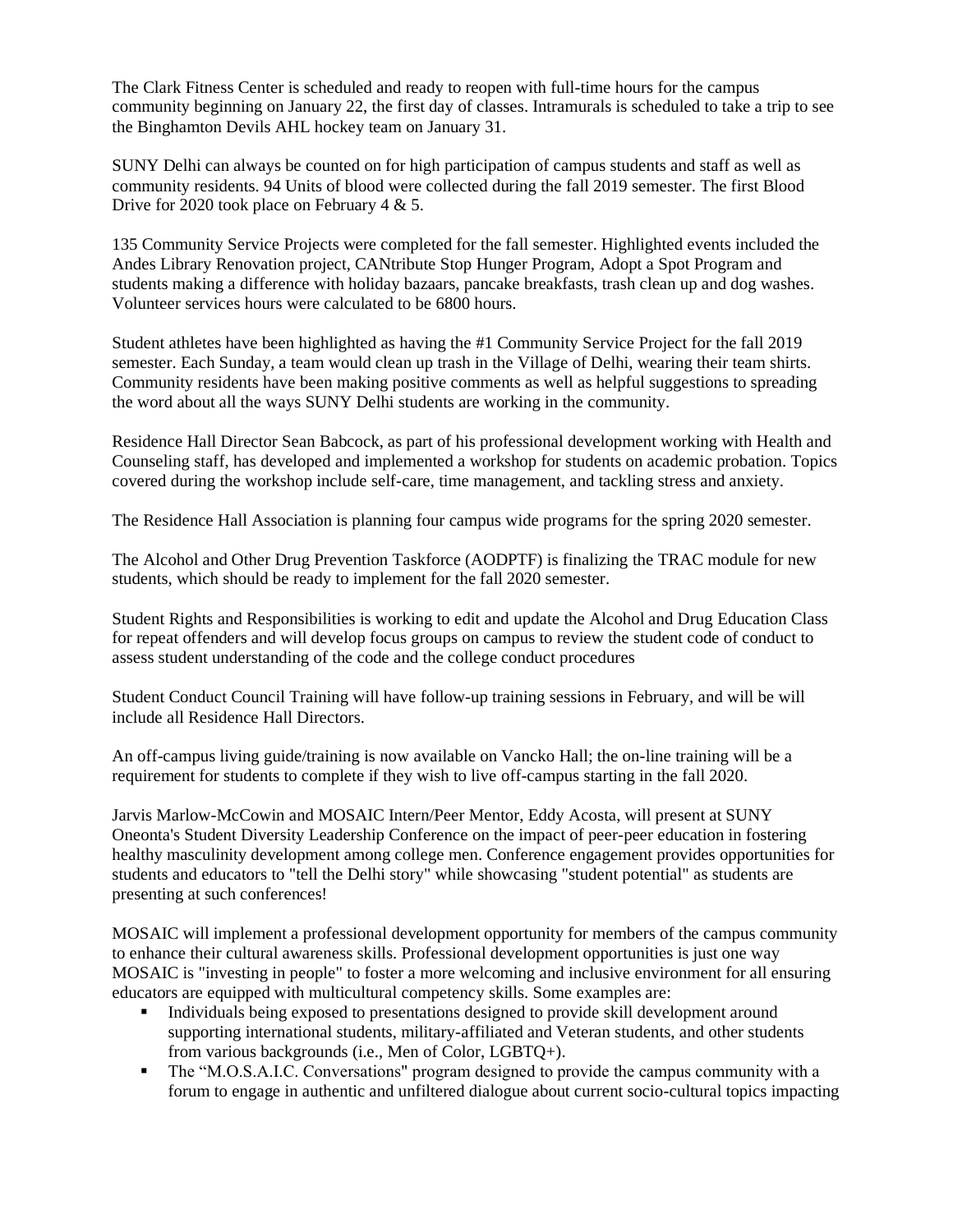The Clark Fitness Center is scheduled and ready to reopen with full-time hours for the campus community beginning on January 22, the first day of classes. Intramurals is scheduled to take a trip to see the Binghamton Devils AHL hockey team on January 31.

SUNY Delhi can always be counted on for high participation of campus students and staff as well as community residents. 94 Units of blood were collected during the fall 2019 semester. The first Blood Drive for 2020 took place on February 4 & 5.

135 Community Service Projects were completed for the fall semester. Highlighted events included the Andes Library Renovation project, CANtribute Stop Hunger Program, Adopt a Spot Program and students making a difference with holiday bazaars, pancake breakfasts, trash clean up and dog washes. Volunteer services hours were calculated to be 6800 hours.

Student athletes have been highlighted as having the #1 Community Service Project for the fall 2019 semester. Each Sunday, a team would clean up trash in the Village of Delhi, wearing their team shirts. Community residents have been making positive comments as well as helpful suggestions to spreading the word about all the ways SUNY Delhi students are working in the community.

Residence Hall Director Sean Babcock, as part of his professional development working with Health and Counseling staff, has developed and implemented a workshop for students on academic probation. Topics covered during the workshop include self-care, time management, and tackling stress and anxiety.

The Residence Hall Association is planning four campus wide programs for the spring 2020 semester.

 students, which should be ready to implement for the fall 2020 semester. The Alcohol and Other Drug Prevention Taskforce (AODPTF) is finalizing the TRAC module for new

 assess student understanding of the code and the college conduct procedures Student Rights and Responsibilities is working to edit and update the Alcohol and Drug Education Class for repeat offenders and will develop focus groups on campus to review the student code of conduct to

Student Conduct Council Training will have follow-up training sessions in February, and will be will include all Residence Hall Directors.

An off-campus living guide/training is now available on Vancko Hall; the on-line training will be a requirement for students to complete if they wish to live off-campus starting in the fall 2020.

 Jarvis Marlow-McCowin and MOSAIC Intern/Peer Mentor, Eddy Acosta, will present at SUNY Oneonta's Student Diversity Leadership Conference on the impact of peer-peer education in fostering healthy masculinity development among college men. Conference engagement provides opportunities for students and educators to "tell the Delhi story" while showcasing "student potential" as students are presenting at such conferences!

MOSAIC will implement a professional development opportunity for members of the campus community to enhance their cultural awareness skills. Professional development opportunities is just one way MOSAIC is "investing in people" to foster a more welcoming and inclusive environment for all ensuring educators are equipped with multicultural competency skills. Some examples are:

- Individuals being exposed to presentations designed to provide skill development around supporting international students, military-affiliated and Veteran students, and other students from various backgrounds (i.e., Men of Color, LGBTQ+).
- The "M.O.S.A.I.C. Conversations" program designed to provide the campus community with a forum to engage in authentic and unfiltered dialogue about current socio-cultural topics impacting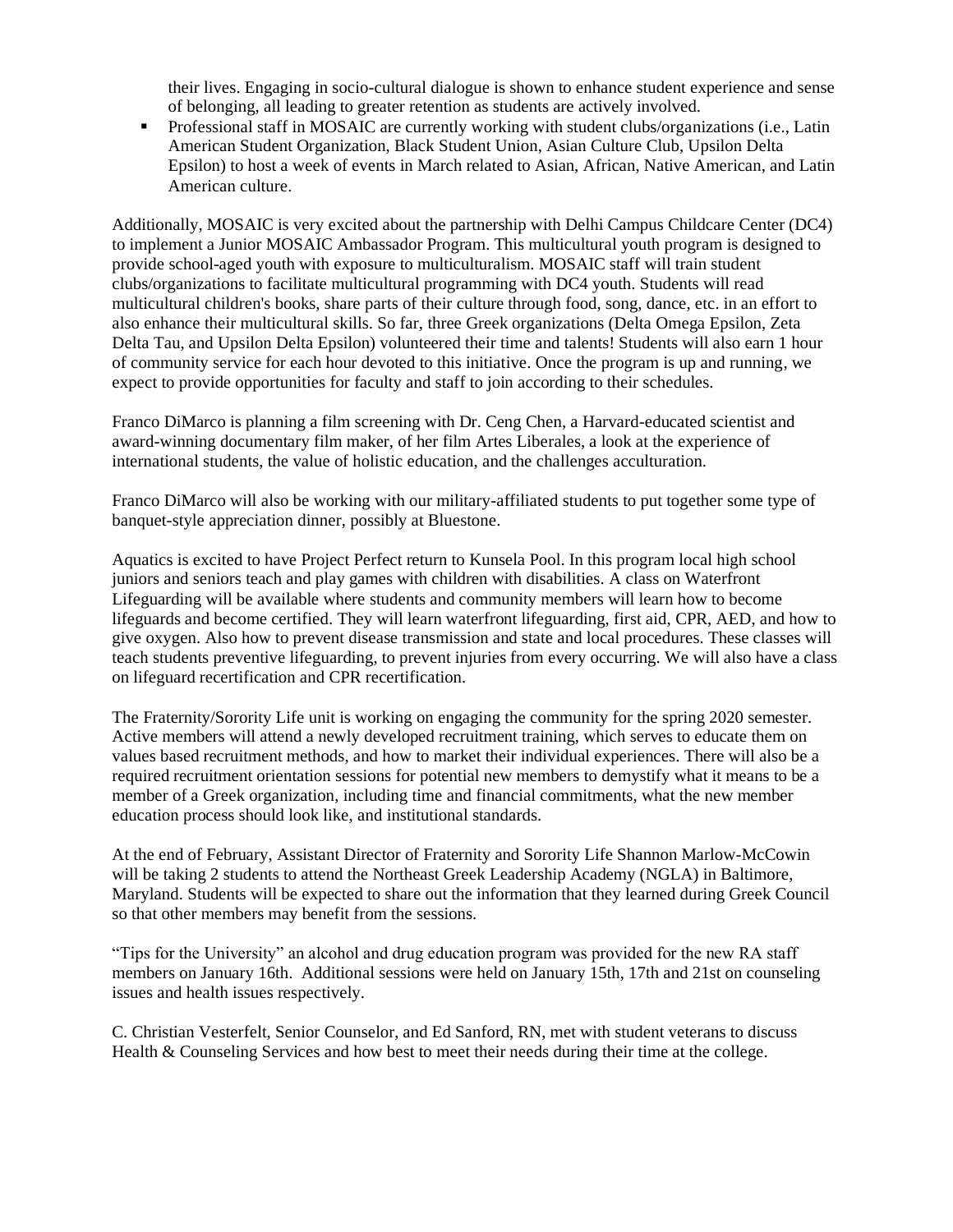their lives. Engaging in socio-cultural dialogue is shown to enhance student experience and sense of belonging, all leading to greater retention as students are actively involved.

▪ Professional staff in MOSAIC are currently working with student clubs/organizations (i.e., Latin American Student Organization, Black Student Union, Asian Culture Club, Upsilon Delta Epsilon) to host a week of events in March related to Asian, African, Native American, and Latin American culture.

 Additionally, MOSAIC is very excited about the partnership with Delhi Campus Childcare Center (DC4) to implement a Junior MOSAIC Ambassador Program. This multicultural youth program is designed to provide school-aged youth with exposure to multiculturalism. MOSAIC staff will train student clubs/organizations to facilitate multicultural programming with DC4 youth. Students will read multicultural children's books, share parts of their culture through food, song, dance, etc. in an effort to also enhance their multicultural skills. So far, three Greek organizations (Delta Omega Epsilon, Zeta Delta Tau, and Upsilon Delta Epsilon) volunteered their time and talents! Students will also earn 1 hour of community service for each hour devoted to this initiative. Once the program is up and running, we expect to provide opportunities for faculty and staff to join according to their schedules.

Franco DiMarco is planning a film screening with Dr. Ceng Chen, a Harvard-educated scientist and award-winning documentary film maker, of her film Artes Liberales, a look at the experience of international students, the value of holistic education, and the challenges acculturation.

Franco DiMarco will also be working with our military-affiliated students to put together some type of banquet-style appreciation dinner, possibly at Bluestone.

 give oxygen. Also how to prevent disease transmission and state and local procedures. These classes will teach students preventive lifeguarding, to prevent injuries from every occurring. We will also have a class Aquatics is excited to have Project Perfect return to Kunsela Pool. In this program local high school juniors and seniors teach and play games with children with disabilities. A class on Waterfront Lifeguarding will be available where students and community members will learn how to become lifeguards and become certified. They will learn waterfront lifeguarding, first aid, CPR, AED, and how to on lifeguard recertification and CPR recertification.

The Fraternity/Sorority Life unit is working on engaging the community for the spring 2020 semester. Active members will attend a newly developed recruitment training, which serves to educate them on values based recruitment methods, and how to market their individual experiences. There will also be a required recruitment orientation sessions for potential new members to demystify what it means to be a member of a Greek organization, including time and financial commitments, what the new member education process should look like, and institutional standards.

At the end of February, Assistant Director of Fraternity and Sorority Life Shannon Marlow-McCowin will be taking 2 students to attend the Northeast Greek Leadership Academy (NGLA) in Baltimore, Maryland. Students will be expected to share out the information that they learned during Greek Council so that other members may benefit from the sessions.

"Tips for the University" an alcohol and drug education program was provided for the new RA staff members on January 16th. Additional sessions were held on January 15th, 17th and 21st on counseling issues and health issues respectively.

C. Christian Vesterfelt, Senior Counselor, and Ed Sanford, RN, met with student veterans to discuss Health & Counseling Services and how best to meet their needs during their time at the college.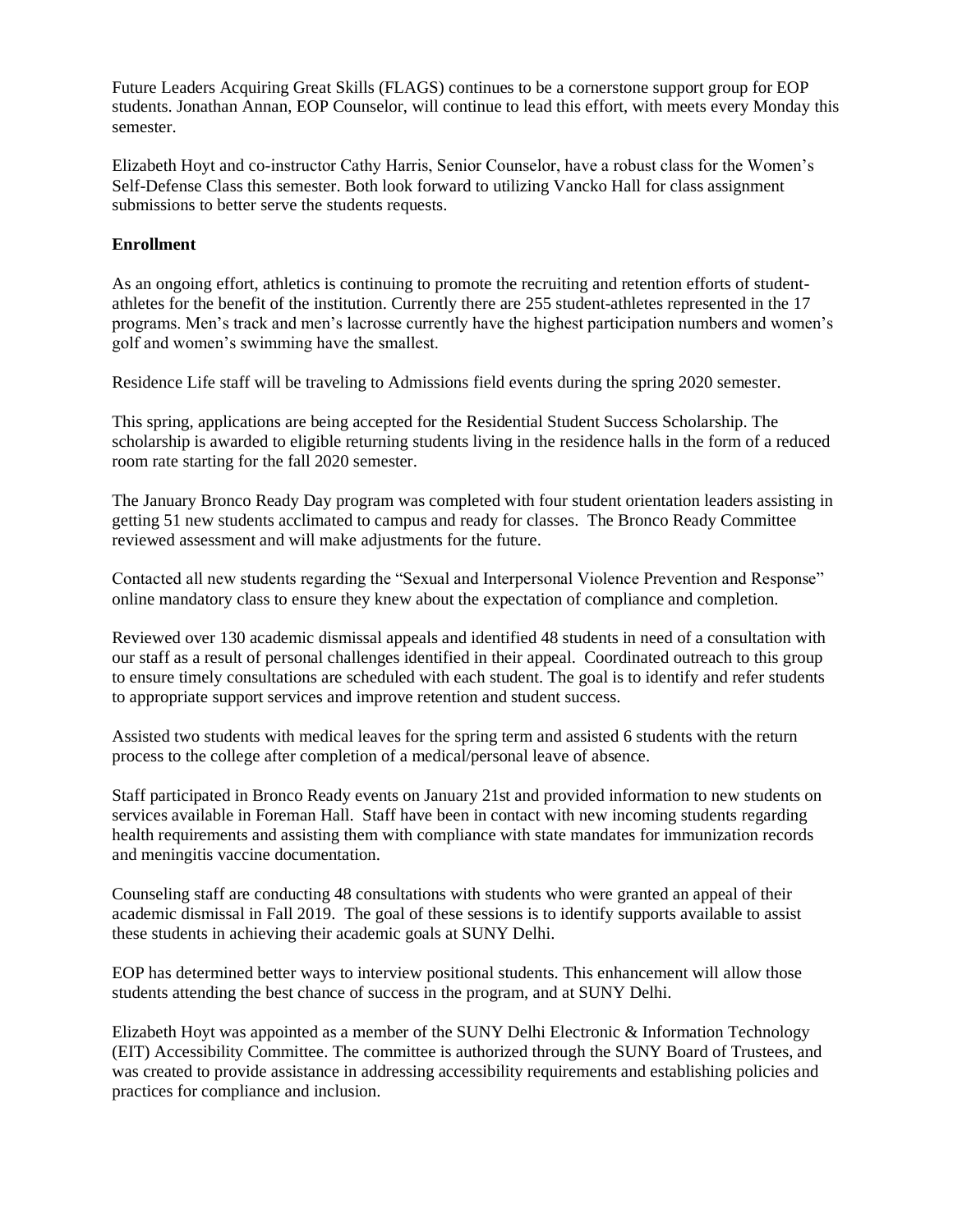Future Leaders Acquiring Great Skills (FLAGS) continues to be a cornerstone support group for EOP students. Jonathan Annan, EOP Counselor, will continue to lead this effort, with meets every Monday this semester.

 Self-Defense Class this semester. Both look forward to utilizing Vancko Hall for class assignment Elizabeth Hoyt and co-instructor Cathy Harris, Senior Counselor, have a robust class for the Women's submissions to better serve the students requests.

#### **Enrollment**

As an ongoing effort, athletics is continuing to promote the recruiting and retention efforts of studentathletes for the benefit of the institution. Currently there are 255 student-athletes represented in the 17 programs. Men's track and men's lacrosse currently have the highest participation numbers and women's golf and women's swimming have the smallest.

Residence Life staff will be traveling to Admissions field events during the spring 2020 semester.

This spring, applications are being accepted for the Residential Student Success Scholarship. The scholarship is awarded to eligible returning students living in the residence halls in the form of a reduced room rate starting for the fall 2020 semester.

The January Bronco Ready Day program was completed with four student orientation leaders assisting in getting 51 new students acclimated to campus and ready for classes. The Bronco Ready Committee reviewed assessment and will make adjustments for the future.

 online mandatory class to ensure they knew about the expectation of compliance and completion. Contacted all new students regarding the "Sexual and Interpersonal Violence Prevention and Response"

Reviewed over 130 academic dismissal appeals and identified 48 students in need of a consultation with our staff as a result of personal challenges identified in their appeal. Coordinated outreach to this group to ensure timely consultations are scheduled with each student. The goal is to identify and refer students to appropriate support services and improve retention and student success.

Assisted two students with medical leaves for the spring term and assisted 6 students with the return process to the college after completion of a medical/personal leave of absence.

Staff participated in Bronco Ready events on January 21st and provided information to new students on services available in Foreman Hall. Staff have been in contact with new incoming students regarding health requirements and assisting them with compliance with state mandates for immunization records and meningitis vaccine documentation.

Counseling staff are conducting 48 consultations with students who were granted an appeal of their academic dismissal in Fall 2019. The goal of these sessions is to identify supports available to assist these students in achieving their academic goals at SUNY Delhi.

EOP has determined better ways to interview positional students. This enhancement will allow those students attending the best chance of success in the program, and at SUNY Delhi.

 Elizabeth Hoyt was appointed as a member of the SUNY Delhi Electronic & Information Technology (EIT) Accessibility Committee. The committee is authorized through the SUNY Board of Trustees, and was created to provide assistance in addressing accessibility requirements and establishing policies and practices for compliance and inclusion.